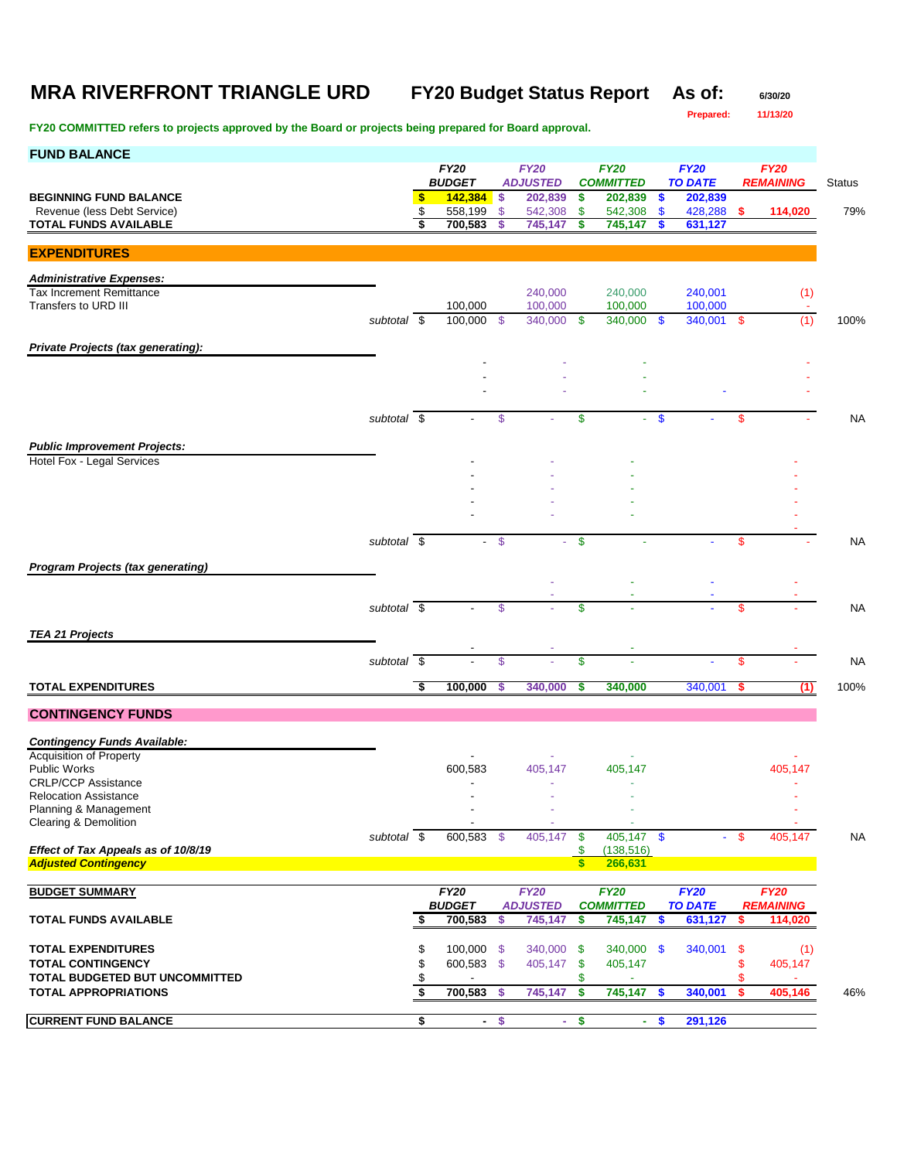# **MRA RIVERFRONT TRIANGLE URD FY20 Budget Status Report** As of: 6/30/20<br>Prepared: 11/13/20

**Prepared: 11/13/20**

| <b>FUND BALANCE</b>                                                      |             |          |                                     |                     |                                |                    |                                 |                    |                               |           |                                 |               |
|--------------------------------------------------------------------------|-------------|----------|-------------------------------------|---------------------|--------------------------------|--------------------|---------------------------------|--------------------|-------------------------------|-----------|---------------------------------|---------------|
|                                                                          |             |          | <b>FY20</b><br><b>BUDGET</b>        |                     | <b>FY20</b><br><b>ADJUSTED</b> |                    | <b>FY20</b><br><b>COMMITTED</b> |                    | <b>FY20</b><br><b>TO DATE</b> |           | <b>FY20</b><br><b>REMAINING</b> | <b>Status</b> |
| <b>BEGINNING FUND BALANCE</b>                                            |             | \$       | 142,384                             | \$                  | 202,839                        | \$                 | 202,839                         | \$                 | 202,839                       |           |                                 |               |
| Revenue (less Debt Service)<br><b>TOTAL FUNDS AVAILABLE</b>              |             | \$<br>\$ | 558,199<br>700,583                  | $\mathfrak s$<br>S. | 542,308<br>745,147             | \$<br>s            | 542,308<br>745,147              | $\mathbf{\$}$<br>S | 428,288<br>631,127            | -S        | 114,020                         | 79%           |
| <b>EXPENDITURES</b>                                                      |             |          |                                     |                     |                                |                    |                                 |                    |                               |           |                                 |               |
| <b>Administrative Expenses:</b>                                          |             |          |                                     |                     |                                |                    |                                 |                    |                               |           |                                 |               |
| <b>Tax Increment Remittance</b>                                          |             |          |                                     |                     | 240,000                        |                    | 240,000                         |                    | 240,001                       |           | (1)                             |               |
| Transfers to URD III                                                     | subtotal \$ |          | 100,000<br>100,000 \$               |                     | 100,000<br>340.000             | -\$                | 100,000<br>340,000 \$           |                    | 100,000<br>340,001 \$         |           | (1)                             | 100%          |
| Private Projects (tax generating):                                       |             |          |                                     |                     |                                |                    |                                 |                    |                               |           |                                 |               |
|                                                                          |             |          |                                     |                     |                                |                    |                                 |                    |                               |           |                                 |               |
|                                                                          |             |          |                                     |                     |                                |                    |                                 |                    |                               |           |                                 |               |
|                                                                          | subtotal \$ |          |                                     | $\sqrt[6]{3}$       |                                | \$                 |                                 | $\mathbf{\$}$      |                               | \$        |                                 | <b>NA</b>     |
|                                                                          |             |          |                                     |                     |                                |                    |                                 |                    |                               |           |                                 |               |
| <b>Public Improvement Projects:</b><br><b>Hotel Fox - Legal Services</b> |             |          |                                     |                     |                                |                    |                                 |                    |                               |           |                                 |               |
|                                                                          |             |          |                                     |                     |                                |                    |                                 |                    |                               |           |                                 |               |
|                                                                          |             |          |                                     |                     |                                |                    |                                 |                    |                               |           |                                 |               |
|                                                                          |             |          |                                     |                     |                                |                    |                                 |                    |                               |           |                                 |               |
|                                                                          | subtotal \$ |          |                                     | $\mathcal{S}$       |                                | \$                 |                                 |                    |                               | \$        |                                 | <b>NA</b>     |
|                                                                          |             |          |                                     |                     |                                |                    |                                 |                    |                               |           |                                 |               |
| <b>Program Projects (tax generating)</b>                                 |             |          |                                     |                     |                                |                    |                                 |                    |                               |           |                                 |               |
|                                                                          | subtotal \$ |          |                                     | \$                  |                                | \$                 |                                 |                    |                               | \$        |                                 | <b>NA</b>     |
|                                                                          |             |          |                                     |                     |                                |                    |                                 |                    |                               |           |                                 |               |
| <b>TEA 21 Projects</b>                                                   |             |          |                                     |                     |                                |                    |                                 |                    |                               |           |                                 |               |
|                                                                          | subtotal \$ |          |                                     | $\mathsf{\$}$       |                                | \$                 |                                 |                    |                               | \$        |                                 | <b>NA</b>     |
| <b>TOTAL EXPENDITURES</b>                                                |             | \$       | 100,000                             | -S                  | 340,000                        | S                  | 340,000                         |                    | 340,001                       | s         | (1)                             | 100%          |
| <b>CONTINGENCY FUNDS</b>                                                 |             |          |                                     |                     |                                |                    |                                 |                    |                               |           |                                 |               |
| <b>Contingency Funds Available:</b>                                      |             |          |                                     |                     |                                |                    |                                 |                    |                               |           |                                 |               |
| <b>Acquisition of Property</b>                                           |             |          |                                     |                     |                                |                    |                                 |                    |                               |           |                                 |               |
| <b>Public Works</b><br><b>CRLP/CCP Assistance</b>                        |             |          | 600,583<br>$\overline{\phantom{a}}$ |                     | 405,147                        |                    | 405,147                         |                    |                               |           | 405,147                         |               |
| <b>Relocation Assistance</b>                                             |             |          |                                     |                     |                                |                    |                                 |                    |                               |           |                                 |               |
| Planning & Management<br>Clearing & Demolition                           |             |          |                                     |                     |                                |                    |                                 |                    |                               |           |                                 |               |
|                                                                          | subtotal \$ |          | $600,583$ \$                        |                     | 405,147                        | $\sqrt[6]{3}$      | $405,147$ \$                    |                    |                               | -\$       | 405,147                         | <b>NA</b>     |
| Effect of Tax Appeals as of 10/8/19<br><b>Adjusted Contingency</b>       |             |          |                                     |                     |                                | \$<br>$\mathbf{s}$ | (138, 516)<br>266,631           |                    |                               |           |                                 |               |
|                                                                          |             |          |                                     |                     |                                |                    |                                 |                    |                               |           |                                 |               |
| <b>BUDGET SUMMARY</b>                                                    |             |          | <b>FY20</b><br><b>BUDGET</b>        |                     | <b>FY20</b><br><b>ADJUSTED</b> |                    | <b>FY20</b><br><b>COMMITTED</b> |                    | <b>FY20</b><br><b>TO DATE</b> |           | <b>FY20</b><br><b>REMAINING</b> |               |
| <b>TOTAL FUNDS AVAILABLE</b>                                             |             | \$       | 700,583                             | \$                  | 745,147                        | \$                 | 745,147                         | <b>S</b>           | 631,127                       | - \$      | 114,020                         |               |
| <b>TOTAL EXPENDITURES</b>                                                |             |          |                                     |                     |                                |                    |                                 |                    |                               |           |                                 |               |
| <b>TOTAL CONTINGENCY</b>                                                 |             | \$<br>\$ | 100,000<br>600,583 \$               | -\$                 | 340,000<br>405,147             | \$<br>\$           | 340,000 \$<br>405,147           |                    | 340,001                       | -\$<br>\$ | (1)<br>405,147                  |               |
| <b>TOTAL BUDGETED BUT UNCOMMITTED</b>                                    |             | \$       |                                     |                     |                                | \$                 |                                 |                    |                               | \$        |                                 |               |
| <b>TOTAL APPROPRIATIONS</b>                                              |             | \$       | 700,583                             | \$                  | 745,147                        | \$                 | 745,147                         | -\$                | 340,001                       | -\$       | 405,146                         | 46%           |
| <b>CURRENT FUND BALANCE</b>                                              |             | \$       | $\sim$                              | $\frac{1}{2}$       | $\sim$                         | \$                 | ÷.                              | $\boldsymbol{\$}$  | 291,126                       |           |                                 |               |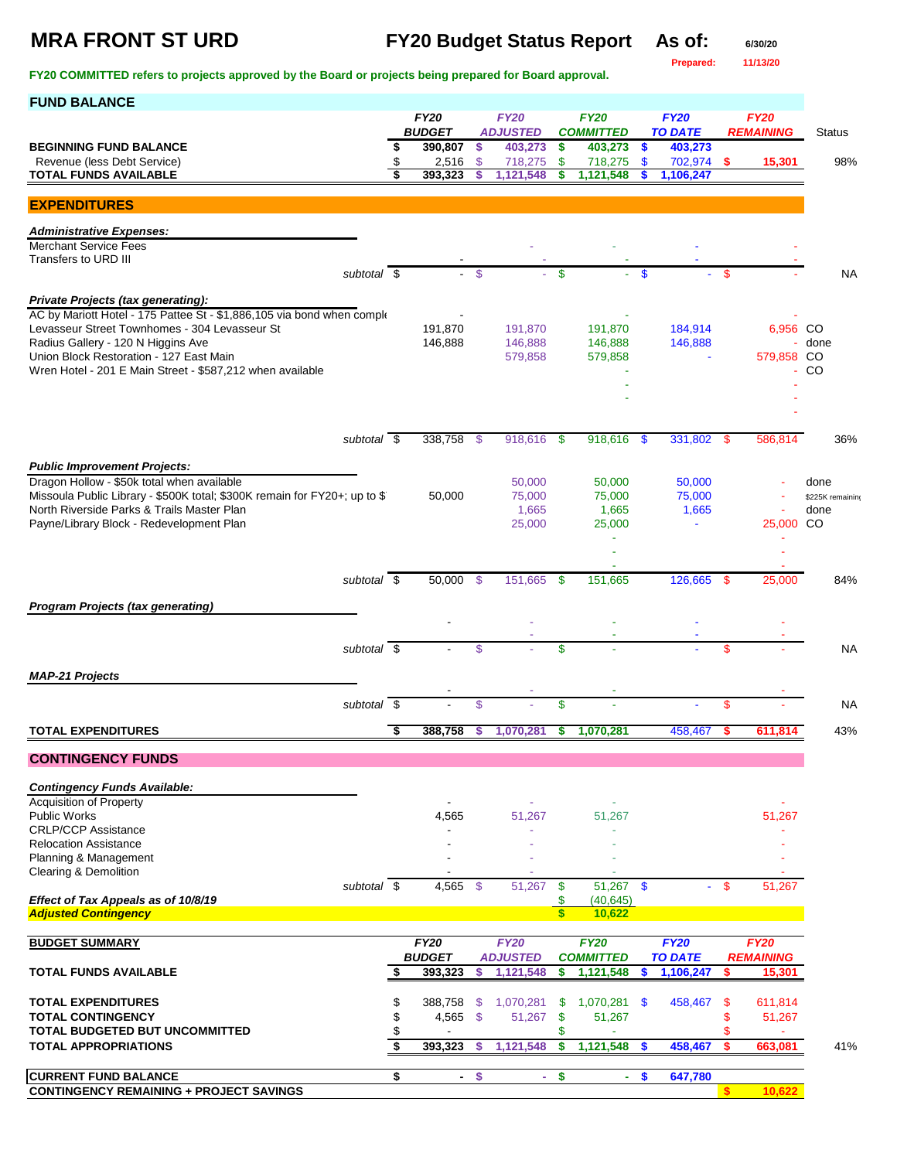**MRA FRONT ST URD FY20 Budget Status Report As of: 6/30/20**

**Prepared: 11/13/20**

| <b>FUND BALANCE</b>                                                                                                     |          |                              |                    |                                |              |                                 |                    |                               |           |                                 |                  |
|-------------------------------------------------------------------------------------------------------------------------|----------|------------------------------|--------------------|--------------------------------|--------------|---------------------------------|--------------------|-------------------------------|-----------|---------------------------------|------------------|
|                                                                                                                         |          | <b>FY20</b><br><b>BUDGET</b> |                    | <b>FY20</b><br><b>ADJUSTED</b> |              | <b>FY20</b><br><b>COMMITTED</b> |                    | <b>FY20</b><br><b>TO DATE</b> |           | <b>FY20</b><br><b>REMAINING</b> | <b>Status</b>    |
| <b>BEGINNING FUND BALANCE</b>                                                                                           |          | 390,807                      | $\sqrt{5}$         | 403,273                        | \$           | 403,273                         | $\bullet$          | 403,273                       |           |                                 |                  |
| Revenue (less Debt Service)<br><b>TOTAL FUNDS AVAILABLE</b>                                                             |          | 2,516<br>393,323             | $\mathfrak s$<br>S | 718,275<br>1,121,548           | \$<br>\$     | 718,275<br>1,121,548            | $\mathbf{\$}$<br>S | 702,974 \$<br>1,106,247       |           | 15,301                          | 98%              |
|                                                                                                                         |          |                              |                    |                                |              |                                 |                    |                               |           |                                 |                  |
| <b>EXPENDITURES</b>                                                                                                     |          |                              |                    |                                |              |                                 |                    |                               |           |                                 |                  |
| <b>Administrative Expenses:</b>                                                                                         |          |                              |                    |                                |              |                                 |                    |                               |           |                                 |                  |
| <b>Merchant Service Fees</b><br>Transfers to URD III                                                                    |          |                              |                    |                                |              |                                 |                    |                               |           |                                 |                  |
| subtotal \$                                                                                                             |          | $\sim$                       | -\$                | ä,                             | $\mathbf{s}$ |                                 | <b>S</b>           |                               | -S        |                                 | <b>NA</b>        |
| Private Projects (tax generating):                                                                                      |          |                              |                    |                                |              |                                 |                    |                               |           |                                 |                  |
| AC by Mariott Hotel - 175 Pattee St - \$1,886,105 via bond when comple<br>Levasseur Street Townhomes - 304 Levasseur St |          | 191,870                      |                    | 191,870                        |              | 191,870                         |                    | 184,914                       |           | 6,956 CO                        |                  |
| Radius Gallery - 120 N Higgins Ave                                                                                      |          | 146,888                      |                    | 146,888                        |              | 146,888                         |                    | 146,888                       |           |                                 | done             |
| Union Block Restoration - 127 East Main<br>Wren Hotel - 201 E Main Street - \$587,212 when available                    |          |                              |                    | 579,858                        |              | 579,858                         |                    |                               |           | 579,858 CO                      | <sub>CO</sub>    |
|                                                                                                                         |          |                              |                    |                                |              |                                 |                    |                               |           |                                 |                  |
|                                                                                                                         |          |                              |                    |                                |              |                                 |                    |                               |           |                                 |                  |
| subtotal \$                                                                                                             |          | 338,758 \$                   |                    | 918,616                        | - \$         | 918,616 \$                      |                    | 331,802                       | - \$      | 586,814                         | 36%              |
|                                                                                                                         |          |                              |                    |                                |              |                                 |                    |                               |           |                                 |                  |
| <b>Public Improvement Projects:</b><br>Dragon Hollow - \$50k total when available                                       |          |                              |                    | 50,000                         |              | 50,000                          |                    | 50,000                        |           |                                 | done             |
| Missoula Public Library - \$500K total; \$300K remain for FY20+; up to \$                                               |          | 50,000                       |                    | 75,000                         |              | 75,000                          |                    | 75,000                        |           |                                 | \$225K remaining |
| North Riverside Parks & Trails Master Plan<br>Payne/Library Block - Redevelopment Plan                                  |          |                              |                    | 1,665<br>25,000                |              | 1,665<br>25,000                 |                    | 1,665<br>$\blacksquare$       |           | 25,000                          | done<br>CO       |
|                                                                                                                         |          |                              |                    |                                |              | ä,                              |                    |                               |           |                                 |                  |
|                                                                                                                         |          |                              |                    |                                |              |                                 |                    |                               |           |                                 |                  |
| subtotal $\overline{\$}$                                                                                                |          | 50,000 \$                    |                    | 151,665                        | - \$         | 151,665                         |                    | 126,665 \$                    |           | 25,000                          | 84%              |
| <b>Program Projects (tax generating)</b>                                                                                |          |                              |                    |                                |              |                                 |                    |                               |           |                                 |                  |
|                                                                                                                         |          |                              |                    |                                |              |                                 |                    |                               |           |                                 |                  |
| subtotal \$                                                                                                             |          |                              | \$                 |                                | \$           |                                 |                    |                               | \$        |                                 | <b>NA</b>        |
| <b>MAP-21 Projects</b>                                                                                                  |          |                              |                    |                                |              |                                 |                    |                               |           |                                 |                  |
| subtotal $\overline{\$}$                                                                                                |          |                              | \$                 |                                | \$           |                                 |                    |                               | \$        |                                 | <b>NA</b>        |
|                                                                                                                         |          |                              |                    |                                |              |                                 |                    |                               |           |                                 |                  |
| <b>TOTAL EXPENDITURES</b>                                                                                               | \$       | 388,758                      | \$                 | 1,070,281                      | \$           | 1,070,281                       |                    | 458,467                       | \$        | 611,814                         | 43%              |
| <b>CONTINGENCY FUNDS</b>                                                                                                |          |                              |                    |                                |              |                                 |                    |                               |           |                                 |                  |
| <b>Contingency Funds Available:</b>                                                                                     |          |                              |                    |                                |              |                                 |                    |                               |           |                                 |                  |
| <b>Acquisition of Property</b><br><b>Public Works</b>                                                                   |          | 4,565                        |                    | 51,267                         |              | 51,267                          |                    |                               |           | 51,267                          |                  |
| <b>CRLP/CCP Assistance</b>                                                                                              |          |                              |                    |                                |              |                                 |                    |                               |           |                                 |                  |
| <b>Relocation Assistance</b><br>Planning & Management                                                                   |          |                              |                    |                                |              |                                 |                    |                               |           |                                 |                  |
| Clearing & Demolition                                                                                                   |          |                              |                    |                                |              |                                 |                    |                               |           |                                 |                  |
| subtotal $\overline{\$}$<br>Effect of Tax Appeals as of 10/8/19                                                         |          | 4,565                        | - \$               | 51,267                         | \$<br>\$     | 51,267<br>(40, 645)             | $\sqrt[6]{3}$      | $\sim$                        | \$        | 51,267                          |                  |
| <b>Adjusted Contingency</b>                                                                                             |          |                              |                    |                                | $\mathbf{s}$ | 10,622                          |                    |                               |           |                                 |                  |
| <b>BUDGET SUMMARY</b>                                                                                                   |          | FY20                         |                    | FY20                           |              | <b>FY20</b>                     |                    | FY20                          |           | FY20                            |                  |
| <b>TOTAL FUNDS AVAILABLE</b>                                                                                            | £.       | <b>BUDGET</b><br>393,323     | \$                 | <b>ADJUSTED</b><br>1,121,548   | \$           | <b>COMMITTED</b><br>1,121,548   | \$                 | <b>TO DATE</b><br>1,106,247   |           | <b>REMAINING</b><br>15,301      |                  |
|                                                                                                                         |          |                              |                    |                                |              |                                 |                    |                               |           |                                 |                  |
| <b>TOTAL EXPENDITURES</b><br><b>TOTAL CONTINGENCY</b>                                                                   | \$<br>\$ | 388,758<br>4,565             | - \$<br>$\sqrt{3}$ | 1,070,281<br>51,267            | \$<br>\$     | 1,070,281 \$<br>51,267          |                    | 458,467                       | -\$<br>\$ | 611,814<br>51,267               |                  |
| TOTAL BUDGETED BUT UNCOMMITTED                                                                                          | \$       |                              |                    |                                | \$           | ä,                              |                    |                               | \$        | ٠                               |                  |
| <b>TOTAL APPROPRIATIONS</b>                                                                                             | \$       | 393,323                      | -\$                | 1,121,548                      | \$           | 1,121,548                       | <b>S</b>           | 458,467                       | \$        | 663,081                         | 41%              |
| <b>CURRENT FUND BALANCE</b>                                                                                             | \$       | $\sim$                       | $\frac{1}{2}$      | $\sim$                         | \$           | $\sim$                          | $\mathbf{\$}$      | 647,780                       |           |                                 |                  |
| <b>CONTINGENCY REMAINING + PROJECT SAVINGS</b>                                                                          |          |                              |                    |                                |              |                                 |                    |                               | s.        | 10,622                          |                  |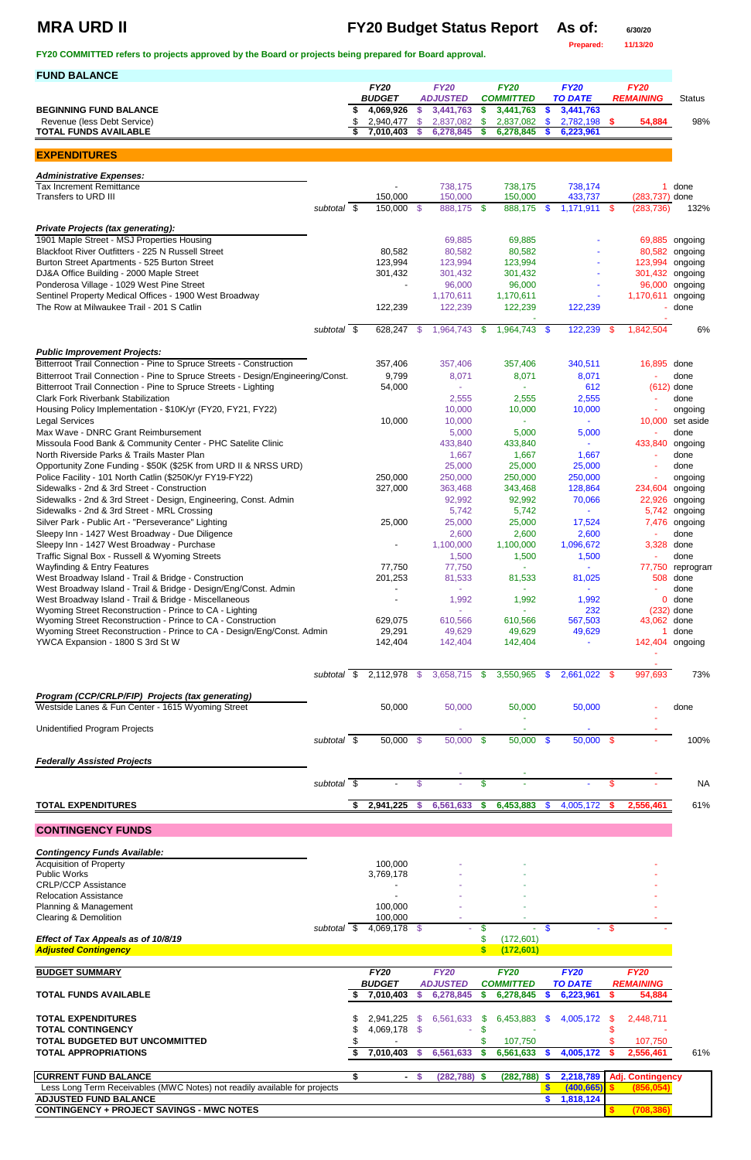## **MRA URD II FY20 Budget Status Report** As of: 6/30/20

**Prepared: 11/13/20**

**FY20 COMMITTED refers to projects approved by the Board or projects being prepared for Board approval.** 

| <b>FUND BALANCE</b>                                                                                                     |                     |                            |              |                              |     |                               |               |                             |          |                              |                          |
|-------------------------------------------------------------------------------------------------------------------------|---------------------|----------------------------|--------------|------------------------------|-----|-------------------------------|---------------|-----------------------------|----------|------------------------------|--------------------------|
|                                                                                                                         |                     | <b>FY20</b>                |              | <b>FY20</b>                  |     | <b>FY20</b>                   |               | <b>FY20</b>                 |          | <b>FY20</b>                  |                          |
| <b>BEGINNING FUND BALANCE</b>                                                                                           |                     | <b>BUDGET</b><br>4,069,926 | \$           | <b>ADJUSTED</b><br>3,441,763 | s.  | <b>COMMITTED</b><br>3,441,763 | \$            | <b>TO DATE</b><br>3,441,763 |          | <b>REMAINING</b>             | <b>Status</b>            |
| Revenue (less Debt Service)                                                                                             |                     | 2,940,477                  | \$           | 2,837,082                    | \$  | 2,837,082                     | <b>S</b>      | 2,782,198 \$                |          | 54,884                       | 98%                      |
| <b>TOTAL FUNDS AVAILABLE</b>                                                                                            |                     | 7,010,403                  | <b>S</b>     | 6,278,845                    | S   | 6,278,845                     |               | 6,223,961                   |          |                              |                          |
|                                                                                                                         |                     |                            |              |                              |     |                               |               |                             |          |                              |                          |
| <b>EXPENDITURES</b>                                                                                                     |                     |                            |              |                              |     |                               |               |                             |          |                              |                          |
| <b>Administrative Expenses:</b>                                                                                         |                     |                            |              |                              |     |                               |               |                             |          |                              |                          |
| <b>Tax Increment Remittance</b>                                                                                         |                     |                            |              | 738,175                      |     | 738,175                       |               | 738,174                     |          | 1.                           | done                     |
| Transfers to URD III                                                                                                    | subtotal \$         | 150,000<br>150,000 \$      |              | 150,000<br>888,175           | -\$ | 150,000<br>888,175            | \$            | 433,737<br>$1,171,911$ \$   |          | (283,737) done<br>(283, 736) | 132%                     |
|                                                                                                                         |                     |                            |              |                              |     |                               |               |                             |          |                              |                          |
| <b>Private Projects (tax generating):</b>                                                                               |                     |                            |              |                              |     |                               |               |                             |          |                              |                          |
| 1901 Maple Street - MSJ Properties Housing<br>Blackfoot River Outfitters - 225 N Russell Street                         |                     | 80,582                     |              | 69,885<br>80,582             |     | 69,885<br>80,582              |               |                             |          | 69,885<br>80,582             | ongoing<br>ongoing       |
| Burton Street Apartments - 525 Burton Street                                                                            |                     | 123,994                    |              | 123,994                      |     | 123,994                       |               |                             |          | 123,994                      | ongoing                  |
| DJ&A Office Building - 2000 Maple Street                                                                                |                     | 301,432                    |              | 301,432                      |     | 301,432                       |               |                             |          | 301,432                      | ongoing                  |
| Ponderosa Village - 1029 West Pine Street                                                                               |                     |                            |              | 96,000                       |     | 96,000                        |               |                             |          | 96,000                       | ongoing                  |
| Sentinel Property Medical Offices - 1900 West Broadway                                                                  |                     |                            |              | 1,170,611                    |     | 1,170,611                     |               |                             |          | 1,170,611                    | ongoing                  |
| The Row at Milwaukee Trail - 201 S Catlin                                                                               |                     | 122,239                    |              | 122,239                      |     | 122,239                       |               | 122,239                     |          |                              | done                     |
|                                                                                                                         | subtotal \$         | 628,247                    | -S           | 1,964,743                    | \$  | 1,964,743                     | <b>S</b>      | 122,239                     | \$       | 1,842,504                    | 6%                       |
|                                                                                                                         |                     |                            |              |                              |     |                               |               |                             |          |                              |                          |
| <b>Public Improvement Projects:</b><br>Bitterroot Trail Connection - Pine to Spruce Streets - Construction              |                     | 357,406                    |              | 357,406                      |     | 357,406                       |               | 340,511                     |          | 16,895                       | done                     |
| Bitterroot Trail Connection - Pine to Spruce Streets - Design/Engineering/Const.                                        |                     | 9,799                      |              | 8,071                        |     | 8,071                         |               | 8,071                       |          |                              | done                     |
| Bitterroot Trail Connection - Pine to Spruce Streets - Lighting                                                         |                     | 54,000                     |              |                              |     |                               |               | 612                         |          |                              | $(612)$ done             |
| <b>Clark Fork Riverbank Stabilization</b>                                                                               |                     |                            |              | 2,555                        |     | 2,555                         |               | 2,555                       |          |                              | done                     |
| Housing Policy Implementation - \$10K/yr (FY20, FY21, FY22)                                                             |                     |                            |              | 10,000                       |     | 10,000                        |               | 10,000                      |          | $\blacksquare$               | ongoing                  |
| <b>Legal Services</b>                                                                                                   |                     | 10,000                     |              | 10,000                       |     | $\sim$                        |               |                             |          | 10,000                       | set aside                |
| Max Wave - DNRC Grant Reimbursement<br>Missoula Food Bank & Community Center - PHC Satelite Clinic                      |                     |                            |              | 5,000<br>433,840             |     | 5,000<br>433,840              |               | 5,000                       |          | $\blacksquare$<br>433,840    | done<br>ongoing          |
| North Riverside Parks & Trails Master Plan                                                                              |                     |                            |              | 1,667                        |     | 1,667                         |               | 1,667                       |          | $\blacksquare$               | done                     |
| Opportunity Zone Funding - \$50K (\$25K from URD II & NRSS URD)                                                         |                     |                            |              | 25,000                       |     | 25,000                        |               | 25,000                      |          | $\blacksquare$               | done                     |
| Police Facility - 101 North Catlin (\$250K/yr FY19-FY22)                                                                |                     | 250,000                    |              | 250,000                      |     | 250,000                       |               | 250,000                     |          |                              | ongoing                  |
| Sidewalks - 2nd & 3rd Street - Construction                                                                             |                     | 327,000                    |              | 363,468                      |     | 343,468                       |               | 128,864                     |          | 234,604 ongoing              |                          |
| Sidewalks - 2nd & 3rd Street - Design, Engineering, Const. Admin                                                        |                     |                            |              | 92,992                       |     | 92,992                        |               | 70,066                      |          |                              | 22,926 ongoing           |
| Sidewalks - 2nd & 3rd Street - MRL Crossing<br>Silver Park - Public Art - "Perseverance" Lighting                       |                     | 25,000                     |              | 5,742<br>25,000              |     | 5,742<br>25,000               |               | $\omega_{\rm c}$<br>17,524  |          | 5,742                        | ongoing<br>7,476 ongoing |
| Sleepy Inn - 1427 West Broadway - Due Diligence                                                                         |                     |                            |              | 2,600                        |     | 2,600                         |               | 2,600                       |          | $\overline{\phantom{a}}$     | done                     |
| Sleepy Inn - 1427 West Broadway - Purchase                                                                              |                     |                            |              | 1,100,000                    |     | 1,100,000                     |               | 1,096,672                   |          | 3,328                        | done                     |
| Traffic Signal Box - Russell & Wyoming Streets                                                                          |                     |                            |              | 1,500                        |     | 1,500                         |               | 1,500                       |          | $\blacksquare$               | done                     |
| <b>Wayfinding &amp; Entry Features</b>                                                                                  |                     | 77,750                     |              | 77,750                       |     | $\sim$                        |               | ÷.                          |          | 77,750                       | reprogram                |
| West Broadway Island - Trail & Bridge - Construction<br>West Broadway Island - Trail & Bridge - Design/Eng/Const. Admin |                     | 201,253                    |              | 81,533<br>$\sim$             |     | 81,533<br>$\sim$              |               | 81,025<br>$\mathbf{r}$      |          | 508                          | done<br>done             |
| West Broadway Island - Trail & Bridge - Miscellaneous                                                                   |                     |                            |              | 1,992                        |     | 1,992                         |               | 1,992                       |          | 0                            | done                     |
| Wyoming Street Reconstruction - Prince to CA - Lighting                                                                 |                     |                            |              |                              |     |                               |               | 232                         |          | (232)                        | done                     |
| Wyoming Street Reconstruction - Prince to CA - Construction                                                             |                     | 629,075                    |              | 610,566                      |     | 610,566                       |               | 567,503                     |          | 43,062 done                  |                          |
| Wyoming Street Reconstruction - Prince to CA - Design/Eng/Const. Admin                                                  |                     | 29,291                     |              | 49,629                       |     | 49,629                        |               | 49,629                      |          | 1                            | done                     |
| YWCA Expansion - 1800 S 3rd St W                                                                                        |                     | 142,404                    |              | 142,404                      |     | 142,404                       |               |                             |          | 142,404 ongoing              |                          |
|                                                                                                                         |                     |                            |              |                              |     |                               |               |                             |          |                              |                          |
|                                                                                                                         | subtotal \$         | 2,112,978 \$               |              | 3,658,715 \$                 |     | 3,550,965                     | <b>S</b>      | 2,661,022 \$                |          | 997,693                      | 73%                      |
| Program (CCP/CRLP/FIP) Projects (tax generating)                                                                        |                     |                            |              |                              |     |                               |               |                             |          |                              |                          |
| Westside Lanes & Fun Center - 1615 Wyoming Street                                                                       |                     | 50,000                     |              | 50,000                       |     | 50,000                        |               | 50,000                      |          |                              | done                     |
| <b>Unidentified Program Projects</b>                                                                                    |                     |                            |              |                              |     |                               |               |                             |          |                              |                          |
|                                                                                                                         | subtotal \$         | 50,000 \$                  |              | 50,000                       | -\$ | 50,000                        | $\mathbf{\$}$ | $50,000$ \$                 |          |                              | 100%                     |
| <b>Federally Assisted Projects</b>                                                                                      |                     |                            |              |                              |     |                               |               |                             |          |                              |                          |
|                                                                                                                         |                     |                            |              |                              |     |                               |               |                             |          |                              |                          |
|                                                                                                                         | subtotal $\sqrt{s}$ |                            | \$           |                              | \$  |                               |               |                             | \$       |                              | <b>NA</b>                |
| <b>TOTAL EXPENDITURES</b>                                                                                               |                     | 2,941,225                  | $\mathbf{s}$ | 6,561,633                    | S.  | 6,453,883                     | \$            | 4,005,172                   | <b>S</b> | 2,556,461                    | 61%                      |
|                                                                                                                         |                     |                            |              |                              |     |                               |               |                             |          |                              |                          |

**CONTINGENCY FUNDS**

*Contingency Funds Available:*

| Commigately Tunus Avanable:                                               |  |               |              |                 |              |                  |     |                |             |                         |     |
|---------------------------------------------------------------------------|--|---------------|--------------|-----------------|--------------|------------------|-----|----------------|-------------|-------------------------|-----|
| <b>Acquisition of Property</b>                                            |  | 100,000       |              |                 |              |                  |     |                |             |                         |     |
| <b>Public Works</b>                                                       |  | 3,769,178     |              |                 |              |                  |     |                |             |                         |     |
| <b>CRLP/CCP Assistance</b>                                                |  |               |              |                 |              |                  |     |                |             |                         |     |
| <b>Relocation Assistance</b>                                              |  |               |              |                 |              |                  |     |                |             |                         |     |
| Planning & Management                                                     |  | 100,000       |              |                 |              |                  |     |                |             |                         |     |
| <b>Clearing &amp; Demolition</b>                                          |  | 100,000       |              |                 |              |                  |     |                |             |                         |     |
| subtotal \$                                                               |  | 4,069,178 \$  |              | ٠               |              | $\sim$           | \$  |                | $-$ \$      |                         |     |
| Effect of Tax Appeals as of 10/8/19                                       |  |               |              |                 |              | (172,601)        |     |                |             |                         |     |
| <b>Adjusted Contingency</b>                                               |  |               |              |                 | $\mathbf{s}$ | (172, 601)       |     |                |             |                         |     |
|                                                                           |  |               |              |                 |              |                  |     |                |             |                         |     |
| <b>BUDGET SUMMARY</b>                                                     |  | <b>FY20</b>   |              | <b>FY20</b>     | <b>FY20</b>  |                  |     | <b>FY20</b>    | <b>FY20</b> |                         |     |
|                                                                           |  | <b>BUDGET</b> |              | <b>ADJUSTED</b> |              | <b>COMMITTED</b> |     | <b>TO DATE</b> |             | <b>REMAINING</b>        |     |
| <b>TOTAL FUNDS AVAILABLE</b>                                              |  | 7,010,403     |              | 6,278,845       |              | 6,278,845        |     | 6,223,961      |             | 54,884                  |     |
|                                                                           |  |               |              |                 |              |                  |     |                |             |                         |     |
| <b>TOTAL EXPENDITURES</b>                                                 |  | 2,941,225     | S.           | 6,561,633       | \$.          | 6,453,883        | -SS | 4,005,172      | -S          | 2,448,711               |     |
| <b>TOTAL CONTINGENCY</b>                                                  |  |               |              |                 |              |                  |     |                |             |                         |     |
|                                                                           |  | 4,069,178 \$  |              | ٠               |              |                  |     |                |             |                         |     |
| TOTAL BUDGETED BUT UNCOMMITTED                                            |  |               |              |                 |              | 107,750          |     |                |             | 107,750                 |     |
| <b>TOTAL APPROPRIATIONS</b>                                               |  | 7,010,403     |              | 6,561,633       |              | 6,561,633        | S.  | 4,005,172      |             | 2,556,461               |     |
|                                                                           |  |               |              |                 |              |                  |     |                |             |                         |     |
| <b>CURRENT FUND BALANCE</b>                                               |  | $\sim$        | $\mathbf{s}$ | $(282, 788)$ \$ |              | $(282, 788)$ \$  |     | 2,218,789      |             | <b>Adj. Contingency</b> |     |
| Less Long Term Receivables (MWC Notes) not readily available for projects |  |               |              |                 |              |                  |     | (400, 665)     |             | (856, 054)              | 61% |
| <b>ADJUSTED FUND BALANCE</b>                                              |  |               |              |                 |              |                  |     | 1,818,124      |             |                         |     |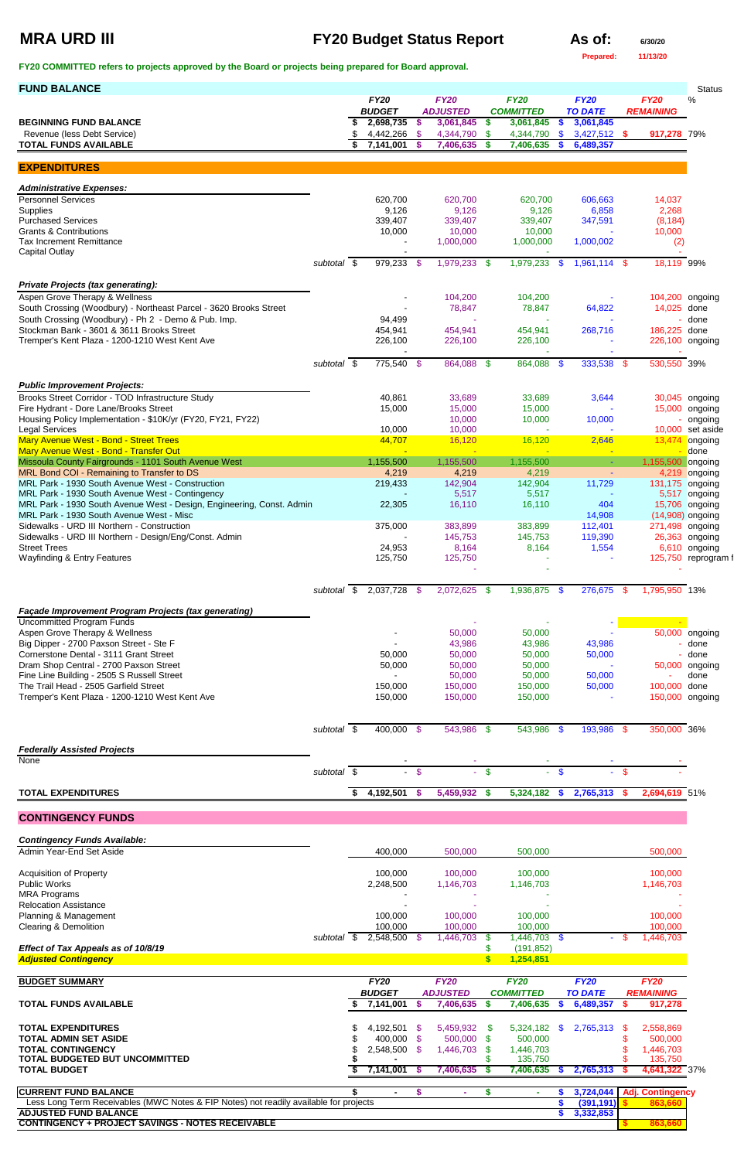## **MRA URD III FY20 Budget Status Report** As of: 6/30/20

**Prepared: 11/13/20**

| <b>BUDGET</b><br><b>ADJUSTED</b><br><b>COMMITTED</b><br><b>TO DATE</b><br><b>REMAINING</b><br>2,698,735<br>3,061,845 \$<br>3,061,845<br>$\sqrt[6]{3}$<br>3,061,845<br>\$<br>4,442,266<br>-\$<br>$3,427,512$ \$<br>4,344,790 \$<br>4,344,790<br>\$<br>917,278 79%<br><b>TOTAL FUNDS AVAILABLE</b><br>\$<br>7,141,001<br>7,406,635<br>7,406,635<br>6,489,357<br>- \$<br>\$<br><b>Administrative Expenses:</b><br>14,037<br>620,700<br>620,700<br>620,700<br>606,663<br>9,126<br>9,126<br>9,126<br>6,858<br>2,268<br><b>Purchased Services</b><br>347,591<br>339,407<br>339,407<br>339,407<br>(8, 184)<br>10,000<br>10,000<br><b>Grants &amp; Contributions</b><br>10,000<br>10,000<br>1,000,000<br>1,000,000<br>1,000,002<br>(2)<br><b>Capital Outlay</b><br>979,233 \$<br>1,979,233 \$<br>subtotal \$<br>1,979,233<br>1,961,114 \$<br>18,119 99%<br>-S<br>Aspen Grove Therapy & Wellness<br>104,200<br>104,200<br>104,200 ongoing<br>South Crossing (Woodbury) - Northeast Parcel - 3620 Brooks Street<br>78,847<br>64,822<br>14,025 done<br>78,847<br>94,499<br>done<br>454,941<br>268,716<br>186,225 done<br>454,941<br>454,941<br>Tremper's Kent Plaza - 1200-1210 West Kent Ave<br>226,100<br>226,100 ongoing<br>226,100<br>226,100<br>775,540 \$<br>333,538<br>530,550 39%<br>subtotal \$<br>864,088 \$<br>864,088<br>\$<br>-\$<br><b>Public Improvement Projects:</b><br>Brooks Street Corridor - TOD Infrastructure Study<br>33,689<br>3,644<br>40,861<br>33,689<br>30,045 ongoing<br>15,000<br>15,000<br>15,000<br>15,000 ongoing<br>10,000<br>10,000<br>10,000<br>10,000<br><b>Legal Services</b><br>10,000<br>10,000 set aside<br>Mary Avenue West - Bond - Street Trees<br>16,120<br>2,646<br>44,707<br>16,120<br>13,474<br>ongoing<br>done<br>Missoula County Fairgrounds - 1101 South Avenue West<br>1,155,500<br>1,155,500<br>1,155,500<br>1,155,500 ongoing<br>$\sim$<br>MRL Bond COI - Remaining to Transfer to DS<br>4,219<br>4,219<br>4,219 ongoing<br>4,219<br>$\blacksquare$<br>11,729<br>131,175 ongoing<br>219,433<br>142,904<br>142,904<br>5,517<br>5,517<br>5,517 ongoing<br>22,305<br>16,110<br>MRL Park - 1930 South Avenue West - Design, Engineering, Const. Admin<br>16,110<br>404<br>15,706 ongoing<br>MRL Park - 1930 South Avenue West - Misc<br>14,908<br>$(14,908)$ ongoing<br>375,000<br>383,899<br>383,899<br>112,401<br>271,498 ongoing<br>145,753<br>145,753<br>119,390<br>26,363 ongoing<br><b>Street Trees</b><br>8,164<br>8,164<br>24,953<br>1,554<br>6,610 ongoing<br><b>Wayfinding &amp; Entry Features</b><br>125,750<br>125,750<br>125,750 reprogram f<br>$\sqrt{3}$<br>2,037,728<br>2,072,625<br>1,936,875<br>276,675<br>1,795,950 13%<br>- \$<br>- \$<br>subtotal<br>- \$<br>- \$<br><b>Uncommitted Program Funds</b><br>Aspen Grove Therapy & Wellness<br>50,000 ongoing<br>50,000<br>50,000<br>43,986<br>43,986<br>43,986<br>done<br>Cornerstone Dental - 3111 Grant Street<br>50,000<br>50,000<br>50,000<br>50,000<br>done<br>Dram Shop Central - 2700 Paxson Street<br>50,000<br>50,000<br>50,000<br>50,000 ongoing<br>50,000<br>50,000<br>50,000<br>done<br>150,000<br>150,000<br>100,000 done<br>150,000<br>50,000<br>Tremper's Kent Plaza - 1200-1210 West Kent Ave<br>150,000<br>150,000<br>150,000<br>150,000 ongoing<br>400,000 \$<br>543,986 \$<br>543,986 \$<br>193,986 \$<br>350,000 36%<br>subtotal \$<br><b>Federally Assisted Projects</b><br>$\blacksquare$<br>subtotal $\overline{\$}$<br>$\sqrt{3}$<br>$-$ \$<br>\$<br>-\$<br>$\omega_{\rm c}$<br>$\equiv$<br>4,192,501<br>\$<br>$\sqrt{5}$<br>5,459,932 \$<br>5,324,182<br>2,765,313<br>2,694,619 51%<br>$\mathbf{s}$<br><b>CONTINGENCY FUNDS</b><br><b>Contingency Funds Available:</b><br>400,000<br>500,000<br>500,000<br>500,000<br>100,000<br>100,000<br>100,000<br>100,000<br><b>Acquisition of Property</b><br><b>Public Works</b><br>2,248,500<br>1,146,703<br>1,146,703<br>1,146,703<br>100,000<br>100,000<br>100,000<br>100,000<br>Planning & Management<br>100,000<br>100,000<br>100,000<br>100,000<br>subtotal \$ 2,548,500 \$<br>1,446,703<br>\$<br>- \$<br>1,446,703<br>1,446,703 \$<br>Effect of Tax Appeals as of 10/8/19<br>\$<br>(191, 852)<br><b>Adjusted Contingency</b><br>$\mathbf{s}$<br>1,254,851<br><b>FY20</b><br><b>FY20</b><br><b>FY20</b><br><b>FY20</b><br><b>FY20</b><br><b>BUDGET</b><br><b>ADJUSTED</b><br><b>COMMITTED</b><br><b>TO DATE</b><br><b>REMAINING</b><br>7,406,635<br><b>TOTAL FUNDS AVAILABLE</b><br>\$<br>7,141,001<br>\$<br>7,406,635<br>6,489,357<br>917,278<br><b>S</b><br>S<br><b>S</b><br>4,192,501<br>5,459,932 \$<br>2,765,313<br>2,558,869<br>5,324,182<br>- \$<br><sup>\$</sup><br>-\$<br>\$<br>400,000 \$<br>500,000 \$<br>500,000<br>500,000<br><b>TOTAL CONTINGENCY</b><br>2,548,500 \$<br>1,446,703<br>1,446,703<br>1,446,703<br>\$<br>135,750<br>\$<br>135,750<br>7,141,001<br>4,641,322 37%<br>\$<br>7,406,635<br>7,406,635<br>2,765,313<br>- \$<br>- 5<br><b>CURRENT FUND BALANCE</b><br>3,724,044<br><b>Adj. Contingency</b><br>\$<br>\$<br>\$<br>$\blacksquare$<br>٠<br>Less Long Term Receivables (MWC Notes & FIP Notes) not readily available for projects<br>\$<br>(391, 191)<br>863,660<br>3,332,853<br>\$. | <b>FUND BALANCE</b>                                                                     |  |             |             |             |             |             | <b>Status</b> |
|-----------------------------------------------------------------------------------------------------------------------------------------------------------------------------------------------------------------------------------------------------------------------------------------------------------------------------------------------------------------------------------------------------------------------------------------------------------------------------------------------------------------------------------------------------------------------------------------------------------------------------------------------------------------------------------------------------------------------------------------------------------------------------------------------------------------------------------------------------------------------------------------------------------------------------------------------------------------------------------------------------------------------------------------------------------------------------------------------------------------------------------------------------------------------------------------------------------------------------------------------------------------------------------------------------------------------------------------------------------------------------------------------------------------------------------------------------------------------------------------------------------------------------------------------------------------------------------------------------------------------------------------------------------------------------------------------------------------------------------------------------------------------------------------------------------------------------------------------------------------------------------------------------------------------------------------------------------------------------------------------------------------------------------------------------------------------------------------------------------------------------------------------------------------------------------------------------------------------------------------------------------------------------------------------------------------------------------------------------------------------------------------------------------------------------------------------------------------------------------------------------------------------------------------------------------------------------------------------------------------------------------------------------------------------------------------------------------------------------------------------------------------------------------------------------------------------------------------------------------------------------------------------------------------------------------------------------------------------------------------------------------------------------------------------------------------------------------------------------------------------------------------------------------------------------------------------------------------------------------------------------------------------------------------------------------------------------------------------------------------------------------------------------------------------------------------------------------------------------------------------------------------------------------------------------------------------------------------------------------------------------------------------------------------------------------------------------------------------------------------------------------------------------------------------------------------------------------------------------------------------------------------------------------------------------------------------------------------------------------------------------------------------------------------------------------------------------------------------------------------------------------------------------------------------------------------------------------------------------------------------------------------------------------------------------------------------------------------------------------------------------------------------------------------------------------------------------------------------------------------------------------------------------------------------------------------------------------------------------------------------------------------------------------------------------------------------------------------------------------------------------------------------------------------------------------------------------------------------------------------------------------------------------------------------------------------------------------------------------------------------------------------------------------------------------------------------------------------------------------------------------------------------------------------------------------------------------|-----------------------------------------------------------------------------------------|--|-------------|-------------|-------------|-------------|-------------|---------------|
|                                                                                                                                                                                                                                                                                                                                                                                                                                                                                                                                                                                                                                                                                                                                                                                                                                                                                                                                                                                                                                                                                                                                                                                                                                                                                                                                                                                                                                                                                                                                                                                                                                                                                                                                                                                                                                                                                                                                                                                                                                                                                                                                                                                                                                                                                                                                                                                                                                                                                                                                                                                                                                                                                                                                                                                                                                                                                                                                                                                                                                                                                                                                                                                                                                                                                                                                                                                                                                                                                                                                                                                                                                                                                                                                                                                                                                                                                                                                                                                                                                                                                                                                                                                                                                                                                                                                                                                                                                                                                                                                                                                                                                                                                                                                                                                                                                                                                                                                                                                                                                                                                                                                                                                                     |                                                                                         |  | <b>FY20</b> | <b>FY20</b> | <b>FY20</b> | <b>FY20</b> | <b>FY20</b> | %             |
|                                                                                                                                                                                                                                                                                                                                                                                                                                                                                                                                                                                                                                                                                                                                                                                                                                                                                                                                                                                                                                                                                                                                                                                                                                                                                                                                                                                                                                                                                                                                                                                                                                                                                                                                                                                                                                                                                                                                                                                                                                                                                                                                                                                                                                                                                                                                                                                                                                                                                                                                                                                                                                                                                                                                                                                                                                                                                                                                                                                                                                                                                                                                                                                                                                                                                                                                                                                                                                                                                                                                                                                                                                                                                                                                                                                                                                                                                                                                                                                                                                                                                                                                                                                                                                                                                                                                                                                                                                                                                                                                                                                                                                                                                                                                                                                                                                                                                                                                                                                                                                                                                                                                                                                                     | <b>BEGINNING FUND BALANCE</b>                                                           |  |             |             |             |             |             |               |
|                                                                                                                                                                                                                                                                                                                                                                                                                                                                                                                                                                                                                                                                                                                                                                                                                                                                                                                                                                                                                                                                                                                                                                                                                                                                                                                                                                                                                                                                                                                                                                                                                                                                                                                                                                                                                                                                                                                                                                                                                                                                                                                                                                                                                                                                                                                                                                                                                                                                                                                                                                                                                                                                                                                                                                                                                                                                                                                                                                                                                                                                                                                                                                                                                                                                                                                                                                                                                                                                                                                                                                                                                                                                                                                                                                                                                                                                                                                                                                                                                                                                                                                                                                                                                                                                                                                                                                                                                                                                                                                                                                                                                                                                                                                                                                                                                                                                                                                                                                                                                                                                                                                                                                                                     | Revenue (less Debt Service)                                                             |  |             |             |             |             |             |               |
|                                                                                                                                                                                                                                                                                                                                                                                                                                                                                                                                                                                                                                                                                                                                                                                                                                                                                                                                                                                                                                                                                                                                                                                                                                                                                                                                                                                                                                                                                                                                                                                                                                                                                                                                                                                                                                                                                                                                                                                                                                                                                                                                                                                                                                                                                                                                                                                                                                                                                                                                                                                                                                                                                                                                                                                                                                                                                                                                                                                                                                                                                                                                                                                                                                                                                                                                                                                                                                                                                                                                                                                                                                                                                                                                                                                                                                                                                                                                                                                                                                                                                                                                                                                                                                                                                                                                                                                                                                                                                                                                                                                                                                                                                                                                                                                                                                                                                                                                                                                                                                                                                                                                                                                                     |                                                                                         |  |             |             |             |             |             |               |
|                                                                                                                                                                                                                                                                                                                                                                                                                                                                                                                                                                                                                                                                                                                                                                                                                                                                                                                                                                                                                                                                                                                                                                                                                                                                                                                                                                                                                                                                                                                                                                                                                                                                                                                                                                                                                                                                                                                                                                                                                                                                                                                                                                                                                                                                                                                                                                                                                                                                                                                                                                                                                                                                                                                                                                                                                                                                                                                                                                                                                                                                                                                                                                                                                                                                                                                                                                                                                                                                                                                                                                                                                                                                                                                                                                                                                                                                                                                                                                                                                                                                                                                                                                                                                                                                                                                                                                                                                                                                                                                                                                                                                                                                                                                                                                                                                                                                                                                                                                                                                                                                                                                                                                                                     | <b>EXPENDITURES</b>                                                                     |  |             |             |             |             |             |               |
|                                                                                                                                                                                                                                                                                                                                                                                                                                                                                                                                                                                                                                                                                                                                                                                                                                                                                                                                                                                                                                                                                                                                                                                                                                                                                                                                                                                                                                                                                                                                                                                                                                                                                                                                                                                                                                                                                                                                                                                                                                                                                                                                                                                                                                                                                                                                                                                                                                                                                                                                                                                                                                                                                                                                                                                                                                                                                                                                                                                                                                                                                                                                                                                                                                                                                                                                                                                                                                                                                                                                                                                                                                                                                                                                                                                                                                                                                                                                                                                                                                                                                                                                                                                                                                                                                                                                                                                                                                                                                                                                                                                                                                                                                                                                                                                                                                                                                                                                                                                                                                                                                                                                                                                                     |                                                                                         |  |             |             |             |             |             |               |
|                                                                                                                                                                                                                                                                                                                                                                                                                                                                                                                                                                                                                                                                                                                                                                                                                                                                                                                                                                                                                                                                                                                                                                                                                                                                                                                                                                                                                                                                                                                                                                                                                                                                                                                                                                                                                                                                                                                                                                                                                                                                                                                                                                                                                                                                                                                                                                                                                                                                                                                                                                                                                                                                                                                                                                                                                                                                                                                                                                                                                                                                                                                                                                                                                                                                                                                                                                                                                                                                                                                                                                                                                                                                                                                                                                                                                                                                                                                                                                                                                                                                                                                                                                                                                                                                                                                                                                                                                                                                                                                                                                                                                                                                                                                                                                                                                                                                                                                                                                                                                                                                                                                                                                                                     | <b>Personnel Services</b>                                                               |  |             |             |             |             |             |               |
|                                                                                                                                                                                                                                                                                                                                                                                                                                                                                                                                                                                                                                                                                                                                                                                                                                                                                                                                                                                                                                                                                                                                                                                                                                                                                                                                                                                                                                                                                                                                                                                                                                                                                                                                                                                                                                                                                                                                                                                                                                                                                                                                                                                                                                                                                                                                                                                                                                                                                                                                                                                                                                                                                                                                                                                                                                                                                                                                                                                                                                                                                                                                                                                                                                                                                                                                                                                                                                                                                                                                                                                                                                                                                                                                                                                                                                                                                                                                                                                                                                                                                                                                                                                                                                                                                                                                                                                                                                                                                                                                                                                                                                                                                                                                                                                                                                                                                                                                                                                                                                                                                                                                                                                                     | Supplies                                                                                |  |             |             |             |             |             |               |
|                                                                                                                                                                                                                                                                                                                                                                                                                                                                                                                                                                                                                                                                                                                                                                                                                                                                                                                                                                                                                                                                                                                                                                                                                                                                                                                                                                                                                                                                                                                                                                                                                                                                                                                                                                                                                                                                                                                                                                                                                                                                                                                                                                                                                                                                                                                                                                                                                                                                                                                                                                                                                                                                                                                                                                                                                                                                                                                                                                                                                                                                                                                                                                                                                                                                                                                                                                                                                                                                                                                                                                                                                                                                                                                                                                                                                                                                                                                                                                                                                                                                                                                                                                                                                                                                                                                                                                                                                                                                                                                                                                                                                                                                                                                                                                                                                                                                                                                                                                                                                                                                                                                                                                                                     |                                                                                         |  |             |             |             |             |             |               |
|                                                                                                                                                                                                                                                                                                                                                                                                                                                                                                                                                                                                                                                                                                                                                                                                                                                                                                                                                                                                                                                                                                                                                                                                                                                                                                                                                                                                                                                                                                                                                                                                                                                                                                                                                                                                                                                                                                                                                                                                                                                                                                                                                                                                                                                                                                                                                                                                                                                                                                                                                                                                                                                                                                                                                                                                                                                                                                                                                                                                                                                                                                                                                                                                                                                                                                                                                                                                                                                                                                                                                                                                                                                                                                                                                                                                                                                                                                                                                                                                                                                                                                                                                                                                                                                                                                                                                                                                                                                                                                                                                                                                                                                                                                                                                                                                                                                                                                                                                                                                                                                                                                                                                                                                     | Tax Increment Remittance                                                                |  |             |             |             |             |             |               |
|                                                                                                                                                                                                                                                                                                                                                                                                                                                                                                                                                                                                                                                                                                                                                                                                                                                                                                                                                                                                                                                                                                                                                                                                                                                                                                                                                                                                                                                                                                                                                                                                                                                                                                                                                                                                                                                                                                                                                                                                                                                                                                                                                                                                                                                                                                                                                                                                                                                                                                                                                                                                                                                                                                                                                                                                                                                                                                                                                                                                                                                                                                                                                                                                                                                                                                                                                                                                                                                                                                                                                                                                                                                                                                                                                                                                                                                                                                                                                                                                                                                                                                                                                                                                                                                                                                                                                                                                                                                                                                                                                                                                                                                                                                                                                                                                                                                                                                                                                                                                                                                                                                                                                                                                     |                                                                                         |  |             |             |             |             |             |               |
|                                                                                                                                                                                                                                                                                                                                                                                                                                                                                                                                                                                                                                                                                                                                                                                                                                                                                                                                                                                                                                                                                                                                                                                                                                                                                                                                                                                                                                                                                                                                                                                                                                                                                                                                                                                                                                                                                                                                                                                                                                                                                                                                                                                                                                                                                                                                                                                                                                                                                                                                                                                                                                                                                                                                                                                                                                                                                                                                                                                                                                                                                                                                                                                                                                                                                                                                                                                                                                                                                                                                                                                                                                                                                                                                                                                                                                                                                                                                                                                                                                                                                                                                                                                                                                                                                                                                                                                                                                                                                                                                                                                                                                                                                                                                                                                                                                                                                                                                                                                                                                                                                                                                                                                                     |                                                                                         |  |             |             |             |             |             |               |
|                                                                                                                                                                                                                                                                                                                                                                                                                                                                                                                                                                                                                                                                                                                                                                                                                                                                                                                                                                                                                                                                                                                                                                                                                                                                                                                                                                                                                                                                                                                                                                                                                                                                                                                                                                                                                                                                                                                                                                                                                                                                                                                                                                                                                                                                                                                                                                                                                                                                                                                                                                                                                                                                                                                                                                                                                                                                                                                                                                                                                                                                                                                                                                                                                                                                                                                                                                                                                                                                                                                                                                                                                                                                                                                                                                                                                                                                                                                                                                                                                                                                                                                                                                                                                                                                                                                                                                                                                                                                                                                                                                                                                                                                                                                                                                                                                                                                                                                                                                                                                                                                                                                                                                                                     | <b>Private Projects (tax generating):</b>                                               |  |             |             |             |             |             |               |
|                                                                                                                                                                                                                                                                                                                                                                                                                                                                                                                                                                                                                                                                                                                                                                                                                                                                                                                                                                                                                                                                                                                                                                                                                                                                                                                                                                                                                                                                                                                                                                                                                                                                                                                                                                                                                                                                                                                                                                                                                                                                                                                                                                                                                                                                                                                                                                                                                                                                                                                                                                                                                                                                                                                                                                                                                                                                                                                                                                                                                                                                                                                                                                                                                                                                                                                                                                                                                                                                                                                                                                                                                                                                                                                                                                                                                                                                                                                                                                                                                                                                                                                                                                                                                                                                                                                                                                                                                                                                                                                                                                                                                                                                                                                                                                                                                                                                                                                                                                                                                                                                                                                                                                                                     |                                                                                         |  |             |             |             |             |             |               |
|                                                                                                                                                                                                                                                                                                                                                                                                                                                                                                                                                                                                                                                                                                                                                                                                                                                                                                                                                                                                                                                                                                                                                                                                                                                                                                                                                                                                                                                                                                                                                                                                                                                                                                                                                                                                                                                                                                                                                                                                                                                                                                                                                                                                                                                                                                                                                                                                                                                                                                                                                                                                                                                                                                                                                                                                                                                                                                                                                                                                                                                                                                                                                                                                                                                                                                                                                                                                                                                                                                                                                                                                                                                                                                                                                                                                                                                                                                                                                                                                                                                                                                                                                                                                                                                                                                                                                                                                                                                                                                                                                                                                                                                                                                                                                                                                                                                                                                                                                                                                                                                                                                                                                                                                     | South Crossing (Woodbury) - Ph 2 - Demo & Pub. Imp.                                     |  |             |             |             |             |             |               |
|                                                                                                                                                                                                                                                                                                                                                                                                                                                                                                                                                                                                                                                                                                                                                                                                                                                                                                                                                                                                                                                                                                                                                                                                                                                                                                                                                                                                                                                                                                                                                                                                                                                                                                                                                                                                                                                                                                                                                                                                                                                                                                                                                                                                                                                                                                                                                                                                                                                                                                                                                                                                                                                                                                                                                                                                                                                                                                                                                                                                                                                                                                                                                                                                                                                                                                                                                                                                                                                                                                                                                                                                                                                                                                                                                                                                                                                                                                                                                                                                                                                                                                                                                                                                                                                                                                                                                                                                                                                                                                                                                                                                                                                                                                                                                                                                                                                                                                                                                                                                                                                                                                                                                                                                     | Stockman Bank - 3601 & 3611 Brooks Street                                               |  |             |             |             |             |             |               |
|                                                                                                                                                                                                                                                                                                                                                                                                                                                                                                                                                                                                                                                                                                                                                                                                                                                                                                                                                                                                                                                                                                                                                                                                                                                                                                                                                                                                                                                                                                                                                                                                                                                                                                                                                                                                                                                                                                                                                                                                                                                                                                                                                                                                                                                                                                                                                                                                                                                                                                                                                                                                                                                                                                                                                                                                                                                                                                                                                                                                                                                                                                                                                                                                                                                                                                                                                                                                                                                                                                                                                                                                                                                                                                                                                                                                                                                                                                                                                                                                                                                                                                                                                                                                                                                                                                                                                                                                                                                                                                                                                                                                                                                                                                                                                                                                                                                                                                                                                                                                                                                                                                                                                                                                     |                                                                                         |  |             |             |             |             |             |               |
|                                                                                                                                                                                                                                                                                                                                                                                                                                                                                                                                                                                                                                                                                                                                                                                                                                                                                                                                                                                                                                                                                                                                                                                                                                                                                                                                                                                                                                                                                                                                                                                                                                                                                                                                                                                                                                                                                                                                                                                                                                                                                                                                                                                                                                                                                                                                                                                                                                                                                                                                                                                                                                                                                                                                                                                                                                                                                                                                                                                                                                                                                                                                                                                                                                                                                                                                                                                                                                                                                                                                                                                                                                                                                                                                                                                                                                                                                                                                                                                                                                                                                                                                                                                                                                                                                                                                                                                                                                                                                                                                                                                                                                                                                                                                                                                                                                                                                                                                                                                                                                                                                                                                                                                                     |                                                                                         |  |             |             |             |             |             |               |
|                                                                                                                                                                                                                                                                                                                                                                                                                                                                                                                                                                                                                                                                                                                                                                                                                                                                                                                                                                                                                                                                                                                                                                                                                                                                                                                                                                                                                                                                                                                                                                                                                                                                                                                                                                                                                                                                                                                                                                                                                                                                                                                                                                                                                                                                                                                                                                                                                                                                                                                                                                                                                                                                                                                                                                                                                                                                                                                                                                                                                                                                                                                                                                                                                                                                                                                                                                                                                                                                                                                                                                                                                                                                                                                                                                                                                                                                                                                                                                                                                                                                                                                                                                                                                                                                                                                                                                                                                                                                                                                                                                                                                                                                                                                                                                                                                                                                                                                                                                                                                                                                                                                                                                                                     |                                                                                         |  |             |             |             |             |             |               |
|                                                                                                                                                                                                                                                                                                                                                                                                                                                                                                                                                                                                                                                                                                                                                                                                                                                                                                                                                                                                                                                                                                                                                                                                                                                                                                                                                                                                                                                                                                                                                                                                                                                                                                                                                                                                                                                                                                                                                                                                                                                                                                                                                                                                                                                                                                                                                                                                                                                                                                                                                                                                                                                                                                                                                                                                                                                                                                                                                                                                                                                                                                                                                                                                                                                                                                                                                                                                                                                                                                                                                                                                                                                                                                                                                                                                                                                                                                                                                                                                                                                                                                                                                                                                                                                                                                                                                                                                                                                                                                                                                                                                                                                                                                                                                                                                                                                                                                                                                                                                                                                                                                                                                                                                     |                                                                                         |  |             |             |             |             |             |               |
|                                                                                                                                                                                                                                                                                                                                                                                                                                                                                                                                                                                                                                                                                                                                                                                                                                                                                                                                                                                                                                                                                                                                                                                                                                                                                                                                                                                                                                                                                                                                                                                                                                                                                                                                                                                                                                                                                                                                                                                                                                                                                                                                                                                                                                                                                                                                                                                                                                                                                                                                                                                                                                                                                                                                                                                                                                                                                                                                                                                                                                                                                                                                                                                                                                                                                                                                                                                                                                                                                                                                                                                                                                                                                                                                                                                                                                                                                                                                                                                                                                                                                                                                                                                                                                                                                                                                                                                                                                                                                                                                                                                                                                                                                                                                                                                                                                                                                                                                                                                                                                                                                                                                                                                                     | Fire Hydrant - Dore Lane/Brooks Street                                                  |  |             |             |             |             |             |               |
|                                                                                                                                                                                                                                                                                                                                                                                                                                                                                                                                                                                                                                                                                                                                                                                                                                                                                                                                                                                                                                                                                                                                                                                                                                                                                                                                                                                                                                                                                                                                                                                                                                                                                                                                                                                                                                                                                                                                                                                                                                                                                                                                                                                                                                                                                                                                                                                                                                                                                                                                                                                                                                                                                                                                                                                                                                                                                                                                                                                                                                                                                                                                                                                                                                                                                                                                                                                                                                                                                                                                                                                                                                                                                                                                                                                                                                                                                                                                                                                                                                                                                                                                                                                                                                                                                                                                                                                                                                                                                                                                                                                                                                                                                                                                                                                                                                                                                                                                                                                                                                                                                                                                                                                                     | Housing Policy Implementation - \$10K/yr (FY20, FY21, FY22)                             |  |             |             |             |             |             | ongoing       |
|                                                                                                                                                                                                                                                                                                                                                                                                                                                                                                                                                                                                                                                                                                                                                                                                                                                                                                                                                                                                                                                                                                                                                                                                                                                                                                                                                                                                                                                                                                                                                                                                                                                                                                                                                                                                                                                                                                                                                                                                                                                                                                                                                                                                                                                                                                                                                                                                                                                                                                                                                                                                                                                                                                                                                                                                                                                                                                                                                                                                                                                                                                                                                                                                                                                                                                                                                                                                                                                                                                                                                                                                                                                                                                                                                                                                                                                                                                                                                                                                                                                                                                                                                                                                                                                                                                                                                                                                                                                                                                                                                                                                                                                                                                                                                                                                                                                                                                                                                                                                                                                                                                                                                                                                     |                                                                                         |  |             |             |             |             |             |               |
|                                                                                                                                                                                                                                                                                                                                                                                                                                                                                                                                                                                                                                                                                                                                                                                                                                                                                                                                                                                                                                                                                                                                                                                                                                                                                                                                                                                                                                                                                                                                                                                                                                                                                                                                                                                                                                                                                                                                                                                                                                                                                                                                                                                                                                                                                                                                                                                                                                                                                                                                                                                                                                                                                                                                                                                                                                                                                                                                                                                                                                                                                                                                                                                                                                                                                                                                                                                                                                                                                                                                                                                                                                                                                                                                                                                                                                                                                                                                                                                                                                                                                                                                                                                                                                                                                                                                                                                                                                                                                                                                                                                                                                                                                                                                                                                                                                                                                                                                                                                                                                                                                                                                                                                                     | Mary Avenue West - Bond - Transfer Out                                                  |  |             |             |             |             |             |               |
|                                                                                                                                                                                                                                                                                                                                                                                                                                                                                                                                                                                                                                                                                                                                                                                                                                                                                                                                                                                                                                                                                                                                                                                                                                                                                                                                                                                                                                                                                                                                                                                                                                                                                                                                                                                                                                                                                                                                                                                                                                                                                                                                                                                                                                                                                                                                                                                                                                                                                                                                                                                                                                                                                                                                                                                                                                                                                                                                                                                                                                                                                                                                                                                                                                                                                                                                                                                                                                                                                                                                                                                                                                                                                                                                                                                                                                                                                                                                                                                                                                                                                                                                                                                                                                                                                                                                                                                                                                                                                                                                                                                                                                                                                                                                                                                                                                                                                                                                                                                                                                                                                                                                                                                                     |                                                                                         |  |             |             |             |             |             |               |
|                                                                                                                                                                                                                                                                                                                                                                                                                                                                                                                                                                                                                                                                                                                                                                                                                                                                                                                                                                                                                                                                                                                                                                                                                                                                                                                                                                                                                                                                                                                                                                                                                                                                                                                                                                                                                                                                                                                                                                                                                                                                                                                                                                                                                                                                                                                                                                                                                                                                                                                                                                                                                                                                                                                                                                                                                                                                                                                                                                                                                                                                                                                                                                                                                                                                                                                                                                                                                                                                                                                                                                                                                                                                                                                                                                                                                                                                                                                                                                                                                                                                                                                                                                                                                                                                                                                                                                                                                                                                                                                                                                                                                                                                                                                                                                                                                                                                                                                                                                                                                                                                                                                                                                                                     | MRL Park - 1930 South Avenue West - Construction                                        |  |             |             |             |             |             |               |
|                                                                                                                                                                                                                                                                                                                                                                                                                                                                                                                                                                                                                                                                                                                                                                                                                                                                                                                                                                                                                                                                                                                                                                                                                                                                                                                                                                                                                                                                                                                                                                                                                                                                                                                                                                                                                                                                                                                                                                                                                                                                                                                                                                                                                                                                                                                                                                                                                                                                                                                                                                                                                                                                                                                                                                                                                                                                                                                                                                                                                                                                                                                                                                                                                                                                                                                                                                                                                                                                                                                                                                                                                                                                                                                                                                                                                                                                                                                                                                                                                                                                                                                                                                                                                                                                                                                                                                                                                                                                                                                                                                                                                                                                                                                                                                                                                                                                                                                                                                                                                                                                                                                                                                                                     | MRL Park - 1930 South Avenue West - Contingency                                         |  |             |             |             |             |             |               |
|                                                                                                                                                                                                                                                                                                                                                                                                                                                                                                                                                                                                                                                                                                                                                                                                                                                                                                                                                                                                                                                                                                                                                                                                                                                                                                                                                                                                                                                                                                                                                                                                                                                                                                                                                                                                                                                                                                                                                                                                                                                                                                                                                                                                                                                                                                                                                                                                                                                                                                                                                                                                                                                                                                                                                                                                                                                                                                                                                                                                                                                                                                                                                                                                                                                                                                                                                                                                                                                                                                                                                                                                                                                                                                                                                                                                                                                                                                                                                                                                                                                                                                                                                                                                                                                                                                                                                                                                                                                                                                                                                                                                                                                                                                                                                                                                                                                                                                                                                                                                                                                                                                                                                                                                     |                                                                                         |  |             |             |             |             |             |               |
|                                                                                                                                                                                                                                                                                                                                                                                                                                                                                                                                                                                                                                                                                                                                                                                                                                                                                                                                                                                                                                                                                                                                                                                                                                                                                                                                                                                                                                                                                                                                                                                                                                                                                                                                                                                                                                                                                                                                                                                                                                                                                                                                                                                                                                                                                                                                                                                                                                                                                                                                                                                                                                                                                                                                                                                                                                                                                                                                                                                                                                                                                                                                                                                                                                                                                                                                                                                                                                                                                                                                                                                                                                                                                                                                                                                                                                                                                                                                                                                                                                                                                                                                                                                                                                                                                                                                                                                                                                                                                                                                                                                                                                                                                                                                                                                                                                                                                                                                                                                                                                                                                                                                                                                                     | Sidewalks - URD III Northern - Construction                                             |  |             |             |             |             |             |               |
|                                                                                                                                                                                                                                                                                                                                                                                                                                                                                                                                                                                                                                                                                                                                                                                                                                                                                                                                                                                                                                                                                                                                                                                                                                                                                                                                                                                                                                                                                                                                                                                                                                                                                                                                                                                                                                                                                                                                                                                                                                                                                                                                                                                                                                                                                                                                                                                                                                                                                                                                                                                                                                                                                                                                                                                                                                                                                                                                                                                                                                                                                                                                                                                                                                                                                                                                                                                                                                                                                                                                                                                                                                                                                                                                                                                                                                                                                                                                                                                                                                                                                                                                                                                                                                                                                                                                                                                                                                                                                                                                                                                                                                                                                                                                                                                                                                                                                                                                                                                                                                                                                                                                                                                                     | Sidewalks - URD III Northern - Design/Eng/Const. Admin                                  |  |             |             |             |             |             |               |
|                                                                                                                                                                                                                                                                                                                                                                                                                                                                                                                                                                                                                                                                                                                                                                                                                                                                                                                                                                                                                                                                                                                                                                                                                                                                                                                                                                                                                                                                                                                                                                                                                                                                                                                                                                                                                                                                                                                                                                                                                                                                                                                                                                                                                                                                                                                                                                                                                                                                                                                                                                                                                                                                                                                                                                                                                                                                                                                                                                                                                                                                                                                                                                                                                                                                                                                                                                                                                                                                                                                                                                                                                                                                                                                                                                                                                                                                                                                                                                                                                                                                                                                                                                                                                                                                                                                                                                                                                                                                                                                                                                                                                                                                                                                                                                                                                                                                                                                                                                                                                                                                                                                                                                                                     |                                                                                         |  |             |             |             |             |             |               |
|                                                                                                                                                                                                                                                                                                                                                                                                                                                                                                                                                                                                                                                                                                                                                                                                                                                                                                                                                                                                                                                                                                                                                                                                                                                                                                                                                                                                                                                                                                                                                                                                                                                                                                                                                                                                                                                                                                                                                                                                                                                                                                                                                                                                                                                                                                                                                                                                                                                                                                                                                                                                                                                                                                                                                                                                                                                                                                                                                                                                                                                                                                                                                                                                                                                                                                                                                                                                                                                                                                                                                                                                                                                                                                                                                                                                                                                                                                                                                                                                                                                                                                                                                                                                                                                                                                                                                                                                                                                                                                                                                                                                                                                                                                                                                                                                                                                                                                                                                                                                                                                                                                                                                                                                     |                                                                                         |  |             |             |             |             |             |               |
|                                                                                                                                                                                                                                                                                                                                                                                                                                                                                                                                                                                                                                                                                                                                                                                                                                                                                                                                                                                                                                                                                                                                                                                                                                                                                                                                                                                                                                                                                                                                                                                                                                                                                                                                                                                                                                                                                                                                                                                                                                                                                                                                                                                                                                                                                                                                                                                                                                                                                                                                                                                                                                                                                                                                                                                                                                                                                                                                                                                                                                                                                                                                                                                                                                                                                                                                                                                                                                                                                                                                                                                                                                                                                                                                                                                                                                                                                                                                                                                                                                                                                                                                                                                                                                                                                                                                                                                                                                                                                                                                                                                                                                                                                                                                                                                                                                                                                                                                                                                                                                                                                                                                                                                                     |                                                                                         |  |             |             |             |             |             |               |
|                                                                                                                                                                                                                                                                                                                                                                                                                                                                                                                                                                                                                                                                                                                                                                                                                                                                                                                                                                                                                                                                                                                                                                                                                                                                                                                                                                                                                                                                                                                                                                                                                                                                                                                                                                                                                                                                                                                                                                                                                                                                                                                                                                                                                                                                                                                                                                                                                                                                                                                                                                                                                                                                                                                                                                                                                                                                                                                                                                                                                                                                                                                                                                                                                                                                                                                                                                                                                                                                                                                                                                                                                                                                                                                                                                                                                                                                                                                                                                                                                                                                                                                                                                                                                                                                                                                                                                                                                                                                                                                                                                                                                                                                                                                                                                                                                                                                                                                                                                                                                                                                                                                                                                                                     |                                                                                         |  |             |             |             |             |             |               |
|                                                                                                                                                                                                                                                                                                                                                                                                                                                                                                                                                                                                                                                                                                                                                                                                                                                                                                                                                                                                                                                                                                                                                                                                                                                                                                                                                                                                                                                                                                                                                                                                                                                                                                                                                                                                                                                                                                                                                                                                                                                                                                                                                                                                                                                                                                                                                                                                                                                                                                                                                                                                                                                                                                                                                                                                                                                                                                                                                                                                                                                                                                                                                                                                                                                                                                                                                                                                                                                                                                                                                                                                                                                                                                                                                                                                                                                                                                                                                                                                                                                                                                                                                                                                                                                                                                                                                                                                                                                                                                                                                                                                                                                                                                                                                                                                                                                                                                                                                                                                                                                                                                                                                                                                     | <b>Façade Improvement Program Projects (tax generating)</b>                             |  |             |             |             |             |             |               |
|                                                                                                                                                                                                                                                                                                                                                                                                                                                                                                                                                                                                                                                                                                                                                                                                                                                                                                                                                                                                                                                                                                                                                                                                                                                                                                                                                                                                                                                                                                                                                                                                                                                                                                                                                                                                                                                                                                                                                                                                                                                                                                                                                                                                                                                                                                                                                                                                                                                                                                                                                                                                                                                                                                                                                                                                                                                                                                                                                                                                                                                                                                                                                                                                                                                                                                                                                                                                                                                                                                                                                                                                                                                                                                                                                                                                                                                                                                                                                                                                                                                                                                                                                                                                                                                                                                                                                                                                                                                                                                                                                                                                                                                                                                                                                                                                                                                                                                                                                                                                                                                                                                                                                                                                     |                                                                                         |  |             |             |             |             |             |               |
|                                                                                                                                                                                                                                                                                                                                                                                                                                                                                                                                                                                                                                                                                                                                                                                                                                                                                                                                                                                                                                                                                                                                                                                                                                                                                                                                                                                                                                                                                                                                                                                                                                                                                                                                                                                                                                                                                                                                                                                                                                                                                                                                                                                                                                                                                                                                                                                                                                                                                                                                                                                                                                                                                                                                                                                                                                                                                                                                                                                                                                                                                                                                                                                                                                                                                                                                                                                                                                                                                                                                                                                                                                                                                                                                                                                                                                                                                                                                                                                                                                                                                                                                                                                                                                                                                                                                                                                                                                                                                                                                                                                                                                                                                                                                                                                                                                                                                                                                                                                                                                                                                                                                                                                                     | Big Dipper - 2700 Paxson Street - Ste F                                                 |  |             |             |             |             |             |               |
|                                                                                                                                                                                                                                                                                                                                                                                                                                                                                                                                                                                                                                                                                                                                                                                                                                                                                                                                                                                                                                                                                                                                                                                                                                                                                                                                                                                                                                                                                                                                                                                                                                                                                                                                                                                                                                                                                                                                                                                                                                                                                                                                                                                                                                                                                                                                                                                                                                                                                                                                                                                                                                                                                                                                                                                                                                                                                                                                                                                                                                                                                                                                                                                                                                                                                                                                                                                                                                                                                                                                                                                                                                                                                                                                                                                                                                                                                                                                                                                                                                                                                                                                                                                                                                                                                                                                                                                                                                                                                                                                                                                                                                                                                                                                                                                                                                                                                                                                                                                                                                                                                                                                                                                                     |                                                                                         |  |             |             |             |             |             |               |
|                                                                                                                                                                                                                                                                                                                                                                                                                                                                                                                                                                                                                                                                                                                                                                                                                                                                                                                                                                                                                                                                                                                                                                                                                                                                                                                                                                                                                                                                                                                                                                                                                                                                                                                                                                                                                                                                                                                                                                                                                                                                                                                                                                                                                                                                                                                                                                                                                                                                                                                                                                                                                                                                                                                                                                                                                                                                                                                                                                                                                                                                                                                                                                                                                                                                                                                                                                                                                                                                                                                                                                                                                                                                                                                                                                                                                                                                                                                                                                                                                                                                                                                                                                                                                                                                                                                                                                                                                                                                                                                                                                                                                                                                                                                                                                                                                                                                                                                                                                                                                                                                                                                                                                                                     | Fine Line Building - 2505 S Russell Street                                              |  |             |             |             |             |             |               |
|                                                                                                                                                                                                                                                                                                                                                                                                                                                                                                                                                                                                                                                                                                                                                                                                                                                                                                                                                                                                                                                                                                                                                                                                                                                                                                                                                                                                                                                                                                                                                                                                                                                                                                                                                                                                                                                                                                                                                                                                                                                                                                                                                                                                                                                                                                                                                                                                                                                                                                                                                                                                                                                                                                                                                                                                                                                                                                                                                                                                                                                                                                                                                                                                                                                                                                                                                                                                                                                                                                                                                                                                                                                                                                                                                                                                                                                                                                                                                                                                                                                                                                                                                                                                                                                                                                                                                                                                                                                                                                                                                                                                                                                                                                                                                                                                                                                                                                                                                                                                                                                                                                                                                                                                     | The Trail Head - 2505 Garfield Street                                                   |  |             |             |             |             |             |               |
|                                                                                                                                                                                                                                                                                                                                                                                                                                                                                                                                                                                                                                                                                                                                                                                                                                                                                                                                                                                                                                                                                                                                                                                                                                                                                                                                                                                                                                                                                                                                                                                                                                                                                                                                                                                                                                                                                                                                                                                                                                                                                                                                                                                                                                                                                                                                                                                                                                                                                                                                                                                                                                                                                                                                                                                                                                                                                                                                                                                                                                                                                                                                                                                                                                                                                                                                                                                                                                                                                                                                                                                                                                                                                                                                                                                                                                                                                                                                                                                                                                                                                                                                                                                                                                                                                                                                                                                                                                                                                                                                                                                                                                                                                                                                                                                                                                                                                                                                                                                                                                                                                                                                                                                                     |                                                                                         |  |             |             |             |             |             |               |
|                                                                                                                                                                                                                                                                                                                                                                                                                                                                                                                                                                                                                                                                                                                                                                                                                                                                                                                                                                                                                                                                                                                                                                                                                                                                                                                                                                                                                                                                                                                                                                                                                                                                                                                                                                                                                                                                                                                                                                                                                                                                                                                                                                                                                                                                                                                                                                                                                                                                                                                                                                                                                                                                                                                                                                                                                                                                                                                                                                                                                                                                                                                                                                                                                                                                                                                                                                                                                                                                                                                                                                                                                                                                                                                                                                                                                                                                                                                                                                                                                                                                                                                                                                                                                                                                                                                                                                                                                                                                                                                                                                                                                                                                                                                                                                                                                                                                                                                                                                                                                                                                                                                                                                                                     |                                                                                         |  |             |             |             |             |             |               |
|                                                                                                                                                                                                                                                                                                                                                                                                                                                                                                                                                                                                                                                                                                                                                                                                                                                                                                                                                                                                                                                                                                                                                                                                                                                                                                                                                                                                                                                                                                                                                                                                                                                                                                                                                                                                                                                                                                                                                                                                                                                                                                                                                                                                                                                                                                                                                                                                                                                                                                                                                                                                                                                                                                                                                                                                                                                                                                                                                                                                                                                                                                                                                                                                                                                                                                                                                                                                                                                                                                                                                                                                                                                                                                                                                                                                                                                                                                                                                                                                                                                                                                                                                                                                                                                                                                                                                                                                                                                                                                                                                                                                                                                                                                                                                                                                                                                                                                                                                                                                                                                                                                                                                                                                     |                                                                                         |  |             |             |             |             |             |               |
|                                                                                                                                                                                                                                                                                                                                                                                                                                                                                                                                                                                                                                                                                                                                                                                                                                                                                                                                                                                                                                                                                                                                                                                                                                                                                                                                                                                                                                                                                                                                                                                                                                                                                                                                                                                                                                                                                                                                                                                                                                                                                                                                                                                                                                                                                                                                                                                                                                                                                                                                                                                                                                                                                                                                                                                                                                                                                                                                                                                                                                                                                                                                                                                                                                                                                                                                                                                                                                                                                                                                                                                                                                                                                                                                                                                                                                                                                                                                                                                                                                                                                                                                                                                                                                                                                                                                                                                                                                                                                                                                                                                                                                                                                                                                                                                                                                                                                                                                                                                                                                                                                                                                                                                                     |                                                                                         |  |             |             |             |             |             |               |
|                                                                                                                                                                                                                                                                                                                                                                                                                                                                                                                                                                                                                                                                                                                                                                                                                                                                                                                                                                                                                                                                                                                                                                                                                                                                                                                                                                                                                                                                                                                                                                                                                                                                                                                                                                                                                                                                                                                                                                                                                                                                                                                                                                                                                                                                                                                                                                                                                                                                                                                                                                                                                                                                                                                                                                                                                                                                                                                                                                                                                                                                                                                                                                                                                                                                                                                                                                                                                                                                                                                                                                                                                                                                                                                                                                                                                                                                                                                                                                                                                                                                                                                                                                                                                                                                                                                                                                                                                                                                                                                                                                                                                                                                                                                                                                                                                                                                                                                                                                                                                                                                                                                                                                                                     | None                                                                                    |  |             |             |             |             |             |               |
|                                                                                                                                                                                                                                                                                                                                                                                                                                                                                                                                                                                                                                                                                                                                                                                                                                                                                                                                                                                                                                                                                                                                                                                                                                                                                                                                                                                                                                                                                                                                                                                                                                                                                                                                                                                                                                                                                                                                                                                                                                                                                                                                                                                                                                                                                                                                                                                                                                                                                                                                                                                                                                                                                                                                                                                                                                                                                                                                                                                                                                                                                                                                                                                                                                                                                                                                                                                                                                                                                                                                                                                                                                                                                                                                                                                                                                                                                                                                                                                                                                                                                                                                                                                                                                                                                                                                                                                                                                                                                                                                                                                                                                                                                                                                                                                                                                                                                                                                                                                                                                                                                                                                                                                                     |                                                                                         |  |             |             |             |             |             |               |
|                                                                                                                                                                                                                                                                                                                                                                                                                                                                                                                                                                                                                                                                                                                                                                                                                                                                                                                                                                                                                                                                                                                                                                                                                                                                                                                                                                                                                                                                                                                                                                                                                                                                                                                                                                                                                                                                                                                                                                                                                                                                                                                                                                                                                                                                                                                                                                                                                                                                                                                                                                                                                                                                                                                                                                                                                                                                                                                                                                                                                                                                                                                                                                                                                                                                                                                                                                                                                                                                                                                                                                                                                                                                                                                                                                                                                                                                                                                                                                                                                                                                                                                                                                                                                                                                                                                                                                                                                                                                                                                                                                                                                                                                                                                                                                                                                                                                                                                                                                                                                                                                                                                                                                                                     | <b>TOTAL EXPENDITURES</b>                                                               |  |             |             |             |             |             |               |
|                                                                                                                                                                                                                                                                                                                                                                                                                                                                                                                                                                                                                                                                                                                                                                                                                                                                                                                                                                                                                                                                                                                                                                                                                                                                                                                                                                                                                                                                                                                                                                                                                                                                                                                                                                                                                                                                                                                                                                                                                                                                                                                                                                                                                                                                                                                                                                                                                                                                                                                                                                                                                                                                                                                                                                                                                                                                                                                                                                                                                                                                                                                                                                                                                                                                                                                                                                                                                                                                                                                                                                                                                                                                                                                                                                                                                                                                                                                                                                                                                                                                                                                                                                                                                                                                                                                                                                                                                                                                                                                                                                                                                                                                                                                                                                                                                                                                                                                                                                                                                                                                                                                                                                                                     |                                                                                         |  |             |             |             |             |             |               |
|                                                                                                                                                                                                                                                                                                                                                                                                                                                                                                                                                                                                                                                                                                                                                                                                                                                                                                                                                                                                                                                                                                                                                                                                                                                                                                                                                                                                                                                                                                                                                                                                                                                                                                                                                                                                                                                                                                                                                                                                                                                                                                                                                                                                                                                                                                                                                                                                                                                                                                                                                                                                                                                                                                                                                                                                                                                                                                                                                                                                                                                                                                                                                                                                                                                                                                                                                                                                                                                                                                                                                                                                                                                                                                                                                                                                                                                                                                                                                                                                                                                                                                                                                                                                                                                                                                                                                                                                                                                                                                                                                                                                                                                                                                                                                                                                                                                                                                                                                                                                                                                                                                                                                                                                     |                                                                                         |  |             |             |             |             |             |               |
|                                                                                                                                                                                                                                                                                                                                                                                                                                                                                                                                                                                                                                                                                                                                                                                                                                                                                                                                                                                                                                                                                                                                                                                                                                                                                                                                                                                                                                                                                                                                                                                                                                                                                                                                                                                                                                                                                                                                                                                                                                                                                                                                                                                                                                                                                                                                                                                                                                                                                                                                                                                                                                                                                                                                                                                                                                                                                                                                                                                                                                                                                                                                                                                                                                                                                                                                                                                                                                                                                                                                                                                                                                                                                                                                                                                                                                                                                                                                                                                                                                                                                                                                                                                                                                                                                                                                                                                                                                                                                                                                                                                                                                                                                                                                                                                                                                                                                                                                                                                                                                                                                                                                                                                                     |                                                                                         |  |             |             |             |             |             |               |
|                                                                                                                                                                                                                                                                                                                                                                                                                                                                                                                                                                                                                                                                                                                                                                                                                                                                                                                                                                                                                                                                                                                                                                                                                                                                                                                                                                                                                                                                                                                                                                                                                                                                                                                                                                                                                                                                                                                                                                                                                                                                                                                                                                                                                                                                                                                                                                                                                                                                                                                                                                                                                                                                                                                                                                                                                                                                                                                                                                                                                                                                                                                                                                                                                                                                                                                                                                                                                                                                                                                                                                                                                                                                                                                                                                                                                                                                                                                                                                                                                                                                                                                                                                                                                                                                                                                                                                                                                                                                                                                                                                                                                                                                                                                                                                                                                                                                                                                                                                                                                                                                                                                                                                                                     | Admin Year-End Set Aside                                                                |  |             |             |             |             |             |               |
|                                                                                                                                                                                                                                                                                                                                                                                                                                                                                                                                                                                                                                                                                                                                                                                                                                                                                                                                                                                                                                                                                                                                                                                                                                                                                                                                                                                                                                                                                                                                                                                                                                                                                                                                                                                                                                                                                                                                                                                                                                                                                                                                                                                                                                                                                                                                                                                                                                                                                                                                                                                                                                                                                                                                                                                                                                                                                                                                                                                                                                                                                                                                                                                                                                                                                                                                                                                                                                                                                                                                                                                                                                                                                                                                                                                                                                                                                                                                                                                                                                                                                                                                                                                                                                                                                                                                                                                                                                                                                                                                                                                                                                                                                                                                                                                                                                                                                                                                                                                                                                                                                                                                                                                                     |                                                                                         |  |             |             |             |             |             |               |
|                                                                                                                                                                                                                                                                                                                                                                                                                                                                                                                                                                                                                                                                                                                                                                                                                                                                                                                                                                                                                                                                                                                                                                                                                                                                                                                                                                                                                                                                                                                                                                                                                                                                                                                                                                                                                                                                                                                                                                                                                                                                                                                                                                                                                                                                                                                                                                                                                                                                                                                                                                                                                                                                                                                                                                                                                                                                                                                                                                                                                                                                                                                                                                                                                                                                                                                                                                                                                                                                                                                                                                                                                                                                                                                                                                                                                                                                                                                                                                                                                                                                                                                                                                                                                                                                                                                                                                                                                                                                                                                                                                                                                                                                                                                                                                                                                                                                                                                                                                                                                                                                                                                                                                                                     |                                                                                         |  |             |             |             |             |             |               |
|                                                                                                                                                                                                                                                                                                                                                                                                                                                                                                                                                                                                                                                                                                                                                                                                                                                                                                                                                                                                                                                                                                                                                                                                                                                                                                                                                                                                                                                                                                                                                                                                                                                                                                                                                                                                                                                                                                                                                                                                                                                                                                                                                                                                                                                                                                                                                                                                                                                                                                                                                                                                                                                                                                                                                                                                                                                                                                                                                                                                                                                                                                                                                                                                                                                                                                                                                                                                                                                                                                                                                                                                                                                                                                                                                                                                                                                                                                                                                                                                                                                                                                                                                                                                                                                                                                                                                                                                                                                                                                                                                                                                                                                                                                                                                                                                                                                                                                                                                                                                                                                                                                                                                                                                     | <b>MRA Programs</b>                                                                     |  |             |             |             |             |             |               |
|                                                                                                                                                                                                                                                                                                                                                                                                                                                                                                                                                                                                                                                                                                                                                                                                                                                                                                                                                                                                                                                                                                                                                                                                                                                                                                                                                                                                                                                                                                                                                                                                                                                                                                                                                                                                                                                                                                                                                                                                                                                                                                                                                                                                                                                                                                                                                                                                                                                                                                                                                                                                                                                                                                                                                                                                                                                                                                                                                                                                                                                                                                                                                                                                                                                                                                                                                                                                                                                                                                                                                                                                                                                                                                                                                                                                                                                                                                                                                                                                                                                                                                                                                                                                                                                                                                                                                                                                                                                                                                                                                                                                                                                                                                                                                                                                                                                                                                                                                                                                                                                                                                                                                                                                     | <b>Relocation Assistance</b>                                                            |  |             |             |             |             |             |               |
|                                                                                                                                                                                                                                                                                                                                                                                                                                                                                                                                                                                                                                                                                                                                                                                                                                                                                                                                                                                                                                                                                                                                                                                                                                                                                                                                                                                                                                                                                                                                                                                                                                                                                                                                                                                                                                                                                                                                                                                                                                                                                                                                                                                                                                                                                                                                                                                                                                                                                                                                                                                                                                                                                                                                                                                                                                                                                                                                                                                                                                                                                                                                                                                                                                                                                                                                                                                                                                                                                                                                                                                                                                                                                                                                                                                                                                                                                                                                                                                                                                                                                                                                                                                                                                                                                                                                                                                                                                                                                                                                                                                                                                                                                                                                                                                                                                                                                                                                                                                                                                                                                                                                                                                                     | <b>Clearing &amp; Demolition</b>                                                        |  |             |             |             |             |             |               |
|                                                                                                                                                                                                                                                                                                                                                                                                                                                                                                                                                                                                                                                                                                                                                                                                                                                                                                                                                                                                                                                                                                                                                                                                                                                                                                                                                                                                                                                                                                                                                                                                                                                                                                                                                                                                                                                                                                                                                                                                                                                                                                                                                                                                                                                                                                                                                                                                                                                                                                                                                                                                                                                                                                                                                                                                                                                                                                                                                                                                                                                                                                                                                                                                                                                                                                                                                                                                                                                                                                                                                                                                                                                                                                                                                                                                                                                                                                                                                                                                                                                                                                                                                                                                                                                                                                                                                                                                                                                                                                                                                                                                                                                                                                                                                                                                                                                                                                                                                                                                                                                                                                                                                                                                     |                                                                                         |  |             |             |             |             |             |               |
|                                                                                                                                                                                                                                                                                                                                                                                                                                                                                                                                                                                                                                                                                                                                                                                                                                                                                                                                                                                                                                                                                                                                                                                                                                                                                                                                                                                                                                                                                                                                                                                                                                                                                                                                                                                                                                                                                                                                                                                                                                                                                                                                                                                                                                                                                                                                                                                                                                                                                                                                                                                                                                                                                                                                                                                                                                                                                                                                                                                                                                                                                                                                                                                                                                                                                                                                                                                                                                                                                                                                                                                                                                                                                                                                                                                                                                                                                                                                                                                                                                                                                                                                                                                                                                                                                                                                                                                                                                                                                                                                                                                                                                                                                                                                                                                                                                                                                                                                                                                                                                                                                                                                                                                                     |                                                                                         |  |             |             |             |             |             |               |
|                                                                                                                                                                                                                                                                                                                                                                                                                                                                                                                                                                                                                                                                                                                                                                                                                                                                                                                                                                                                                                                                                                                                                                                                                                                                                                                                                                                                                                                                                                                                                                                                                                                                                                                                                                                                                                                                                                                                                                                                                                                                                                                                                                                                                                                                                                                                                                                                                                                                                                                                                                                                                                                                                                                                                                                                                                                                                                                                                                                                                                                                                                                                                                                                                                                                                                                                                                                                                                                                                                                                                                                                                                                                                                                                                                                                                                                                                                                                                                                                                                                                                                                                                                                                                                                                                                                                                                                                                                                                                                                                                                                                                                                                                                                                                                                                                                                                                                                                                                                                                                                                                                                                                                                                     |                                                                                         |  |             |             |             |             |             |               |
|                                                                                                                                                                                                                                                                                                                                                                                                                                                                                                                                                                                                                                                                                                                                                                                                                                                                                                                                                                                                                                                                                                                                                                                                                                                                                                                                                                                                                                                                                                                                                                                                                                                                                                                                                                                                                                                                                                                                                                                                                                                                                                                                                                                                                                                                                                                                                                                                                                                                                                                                                                                                                                                                                                                                                                                                                                                                                                                                                                                                                                                                                                                                                                                                                                                                                                                                                                                                                                                                                                                                                                                                                                                                                                                                                                                                                                                                                                                                                                                                                                                                                                                                                                                                                                                                                                                                                                                                                                                                                                                                                                                                                                                                                                                                                                                                                                                                                                                                                                                                                                                                                                                                                                                                     | <b>BUDGET SUMMARY</b>                                                                   |  |             |             |             |             |             |               |
|                                                                                                                                                                                                                                                                                                                                                                                                                                                                                                                                                                                                                                                                                                                                                                                                                                                                                                                                                                                                                                                                                                                                                                                                                                                                                                                                                                                                                                                                                                                                                                                                                                                                                                                                                                                                                                                                                                                                                                                                                                                                                                                                                                                                                                                                                                                                                                                                                                                                                                                                                                                                                                                                                                                                                                                                                                                                                                                                                                                                                                                                                                                                                                                                                                                                                                                                                                                                                                                                                                                                                                                                                                                                                                                                                                                                                                                                                                                                                                                                                                                                                                                                                                                                                                                                                                                                                                                                                                                                                                                                                                                                                                                                                                                                                                                                                                                                                                                                                                                                                                                                                                                                                                                                     |                                                                                         |  |             |             |             |             |             |               |
|                                                                                                                                                                                                                                                                                                                                                                                                                                                                                                                                                                                                                                                                                                                                                                                                                                                                                                                                                                                                                                                                                                                                                                                                                                                                                                                                                                                                                                                                                                                                                                                                                                                                                                                                                                                                                                                                                                                                                                                                                                                                                                                                                                                                                                                                                                                                                                                                                                                                                                                                                                                                                                                                                                                                                                                                                                                                                                                                                                                                                                                                                                                                                                                                                                                                                                                                                                                                                                                                                                                                                                                                                                                                                                                                                                                                                                                                                                                                                                                                                                                                                                                                                                                                                                                                                                                                                                                                                                                                                                                                                                                                                                                                                                                                                                                                                                                                                                                                                                                                                                                                                                                                                                                                     |                                                                                         |  |             |             |             |             |             |               |
|                                                                                                                                                                                                                                                                                                                                                                                                                                                                                                                                                                                                                                                                                                                                                                                                                                                                                                                                                                                                                                                                                                                                                                                                                                                                                                                                                                                                                                                                                                                                                                                                                                                                                                                                                                                                                                                                                                                                                                                                                                                                                                                                                                                                                                                                                                                                                                                                                                                                                                                                                                                                                                                                                                                                                                                                                                                                                                                                                                                                                                                                                                                                                                                                                                                                                                                                                                                                                                                                                                                                                                                                                                                                                                                                                                                                                                                                                                                                                                                                                                                                                                                                                                                                                                                                                                                                                                                                                                                                                                                                                                                                                                                                                                                                                                                                                                                                                                                                                                                                                                                                                                                                                                                                     | <b>TOTAL EXPENDITURES</b>                                                               |  |             |             |             |             |             |               |
|                                                                                                                                                                                                                                                                                                                                                                                                                                                                                                                                                                                                                                                                                                                                                                                                                                                                                                                                                                                                                                                                                                                                                                                                                                                                                                                                                                                                                                                                                                                                                                                                                                                                                                                                                                                                                                                                                                                                                                                                                                                                                                                                                                                                                                                                                                                                                                                                                                                                                                                                                                                                                                                                                                                                                                                                                                                                                                                                                                                                                                                                                                                                                                                                                                                                                                                                                                                                                                                                                                                                                                                                                                                                                                                                                                                                                                                                                                                                                                                                                                                                                                                                                                                                                                                                                                                                                                                                                                                                                                                                                                                                                                                                                                                                                                                                                                                                                                                                                                                                                                                                                                                                                                                                     | <b>TOTAL ADMIN SET ASIDE</b>                                                            |  |             |             |             |             |             |               |
|                                                                                                                                                                                                                                                                                                                                                                                                                                                                                                                                                                                                                                                                                                                                                                                                                                                                                                                                                                                                                                                                                                                                                                                                                                                                                                                                                                                                                                                                                                                                                                                                                                                                                                                                                                                                                                                                                                                                                                                                                                                                                                                                                                                                                                                                                                                                                                                                                                                                                                                                                                                                                                                                                                                                                                                                                                                                                                                                                                                                                                                                                                                                                                                                                                                                                                                                                                                                                                                                                                                                                                                                                                                                                                                                                                                                                                                                                                                                                                                                                                                                                                                                                                                                                                                                                                                                                                                                                                                                                                                                                                                                                                                                                                                                                                                                                                                                                                                                                                                                                                                                                                                                                                                                     | TOTAL BUDGETED BUT UNCOMMITTED                                                          |  |             |             |             |             |             |               |
|                                                                                                                                                                                                                                                                                                                                                                                                                                                                                                                                                                                                                                                                                                                                                                                                                                                                                                                                                                                                                                                                                                                                                                                                                                                                                                                                                                                                                                                                                                                                                                                                                                                                                                                                                                                                                                                                                                                                                                                                                                                                                                                                                                                                                                                                                                                                                                                                                                                                                                                                                                                                                                                                                                                                                                                                                                                                                                                                                                                                                                                                                                                                                                                                                                                                                                                                                                                                                                                                                                                                                                                                                                                                                                                                                                                                                                                                                                                                                                                                                                                                                                                                                                                                                                                                                                                                                                                                                                                                                                                                                                                                                                                                                                                                                                                                                                                                                                                                                                                                                                                                                                                                                                                                     | <b>TOTAL BUDGET</b>                                                                     |  |             |             |             |             |             |               |
|                                                                                                                                                                                                                                                                                                                                                                                                                                                                                                                                                                                                                                                                                                                                                                                                                                                                                                                                                                                                                                                                                                                                                                                                                                                                                                                                                                                                                                                                                                                                                                                                                                                                                                                                                                                                                                                                                                                                                                                                                                                                                                                                                                                                                                                                                                                                                                                                                                                                                                                                                                                                                                                                                                                                                                                                                                                                                                                                                                                                                                                                                                                                                                                                                                                                                                                                                                                                                                                                                                                                                                                                                                                                                                                                                                                                                                                                                                                                                                                                                                                                                                                                                                                                                                                                                                                                                                                                                                                                                                                                                                                                                                                                                                                                                                                                                                                                                                                                                                                                                                                                                                                                                                                                     |                                                                                         |  |             |             |             |             |             |               |
|                                                                                                                                                                                                                                                                                                                                                                                                                                                                                                                                                                                                                                                                                                                                                                                                                                                                                                                                                                                                                                                                                                                                                                                                                                                                                                                                                                                                                                                                                                                                                                                                                                                                                                                                                                                                                                                                                                                                                                                                                                                                                                                                                                                                                                                                                                                                                                                                                                                                                                                                                                                                                                                                                                                                                                                                                                                                                                                                                                                                                                                                                                                                                                                                                                                                                                                                                                                                                                                                                                                                                                                                                                                                                                                                                                                                                                                                                                                                                                                                                                                                                                                                                                                                                                                                                                                                                                                                                                                                                                                                                                                                                                                                                                                                                                                                                                                                                                                                                                                                                                                                                                                                                                                                     |                                                                                         |  |             |             |             |             |             |               |
|                                                                                                                                                                                                                                                                                                                                                                                                                                                                                                                                                                                                                                                                                                                                                                                                                                                                                                                                                                                                                                                                                                                                                                                                                                                                                                                                                                                                                                                                                                                                                                                                                                                                                                                                                                                                                                                                                                                                                                                                                                                                                                                                                                                                                                                                                                                                                                                                                                                                                                                                                                                                                                                                                                                                                                                                                                                                                                                                                                                                                                                                                                                                                                                                                                                                                                                                                                                                                                                                                                                                                                                                                                                                                                                                                                                                                                                                                                                                                                                                                                                                                                                                                                                                                                                                                                                                                                                                                                                                                                                                                                                                                                                                                                                                                                                                                                                                                                                                                                                                                                                                                                                                                                                                     | <b>ADJUSTED FUND BALANCE</b><br><b>CONTINGENCY + PROJECT SAVINGS - NOTES RECEIVABLE</b> |  |             |             |             |             | 863,660     |               |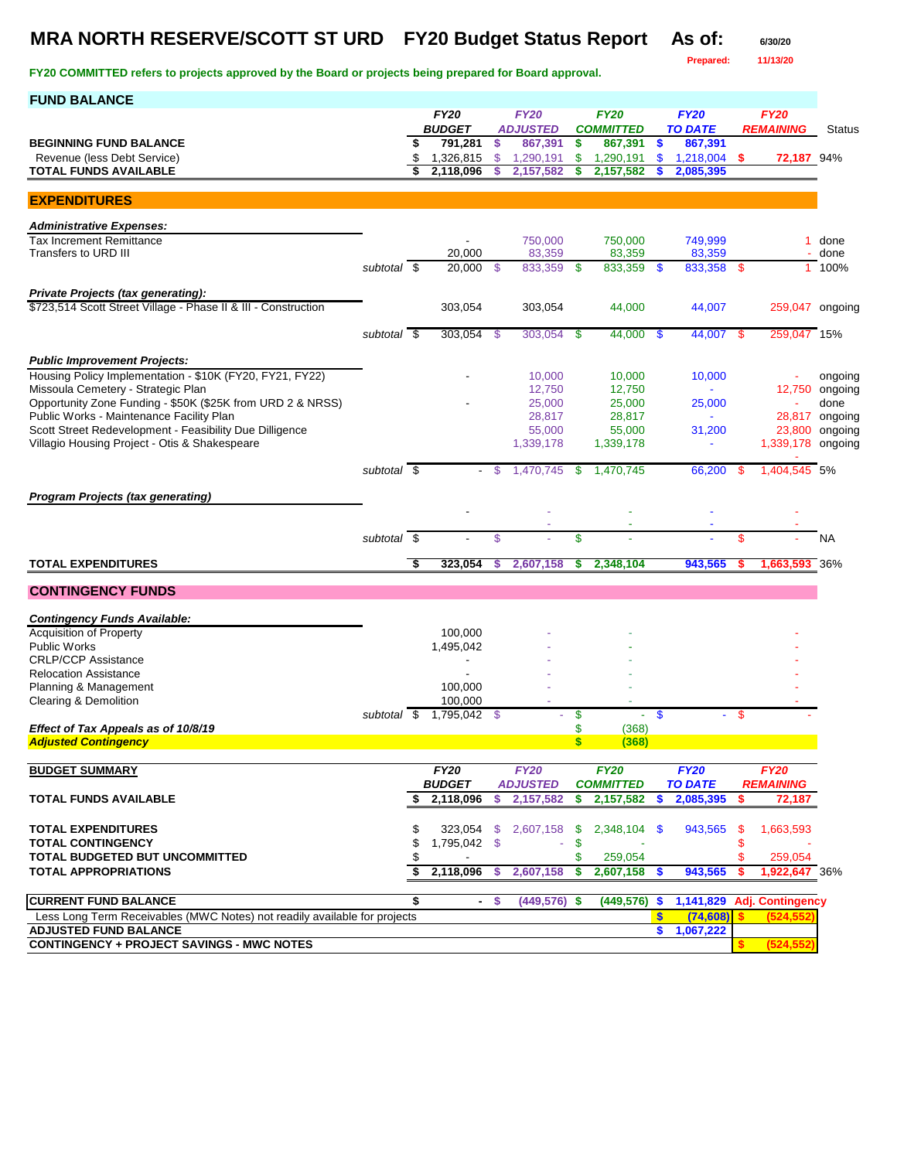### **MRA NORTH RESERVE/SCOTT ST URD FY20 Budget Status Report As of: 6/30/20**

**Prepared: 11/13/20**

| <b>FUND BALANCE</b>                                                                            |                          |     |                              |               |                                |               |                                 |              |                               |      |                                 |                    |
|------------------------------------------------------------------------------------------------|--------------------------|-----|------------------------------|---------------|--------------------------------|---------------|---------------------------------|--------------|-------------------------------|------|---------------------------------|--------------------|
|                                                                                                |                          |     | <b>FY20</b><br><b>BUDGET</b> |               | <b>FY20</b><br><b>ADJUSTED</b> |               | <b>FY20</b><br><b>COMMITTED</b> |              | <b>FY20</b><br><b>TO DATE</b> |      | <b>FY20</b><br><b>REMAINING</b> |                    |
| <b>BEGINNING FUND BALANCE</b>                                                                  |                          | S   | 791,281                      | \$            | 867,391                        | \$            | 867,391                         | $\bullet$    | 867,391                       |      |                                 | Status             |
| Revenue (less Debt Service)                                                                    |                          |     | 1,326,815<br>2,118,096       | $\mathcal{S}$ | 1,290,191                      | \$<br>\$      | 1,290,191                       | <b>S</b>     | $1,218,004$ \$                |      | 72,187 94%                      |                    |
| <b>TOTAL FUNDS AVAILABLE</b>                                                                   |                          |     |                              | \$            | 2,157,582                      |               | 2,157,582                       |              | 2,085,395                     |      |                                 |                    |
| <b>EXPENDITURES</b>                                                                            |                          |     |                              |               |                                |               |                                 |              |                               |      |                                 |                    |
| <b>Administrative Expenses:</b>                                                                |                          |     |                              |               |                                |               |                                 |              |                               |      |                                 |                    |
| <b>Tax Increment Remittance</b><br>Transfers to URD III                                        |                          |     | 20,000                       |               | 750,000<br>83,359              |               | 750,000<br>83,359               |              | 749,999<br>83,359             |      |                                 | 1 done<br>done     |
|                                                                                                | subtotal \$              |     | 20.000                       | - \$          | 833,359                        | - \$          | 833,359 \$                      |              | 833,358 \$                    |      |                                 | 1 100%             |
| Private Projects (tax generating):                                                             |                          |     |                              |               |                                |               |                                 |              |                               |      |                                 |                    |
| \$723,514 Scott Street Village - Phase II & III - Construction                                 |                          |     | 303,054                      |               | 303,054                        |               | 44,000                          |              | 44,007                        |      | 259,047 ongoing                 |                    |
|                                                                                                | subtotal \$              |     | 303,054                      |               | 303,054                        |               | $44,000$ \$                     |              | 44,007 \$                     |      | 259,047 15%                     |                    |
|                                                                                                |                          |     |                              | -\$           |                                | -\$           |                                 |              |                               |      |                                 |                    |
| <b>Public Improvement Projects:</b>                                                            |                          |     |                              |               |                                |               |                                 |              |                               |      |                                 |                    |
| Housing Policy Implementation - \$10K (FY20, FY21, FY22)<br>Missoula Cemetery - Strategic Plan |                          |     |                              |               | 10,000<br>12,750               |               | 10,000<br>12,750                |              | 10,000<br>$\omega$            |      | 12,750                          | ongoing<br>ongoing |
| Opportunity Zone Funding - \$50K (\$25K from URD 2 & NRSS)                                     |                          |     |                              |               | 25,000                         |               | 25,000                          |              | 25,000                        |      |                                 | done               |
| Public Works - Maintenance Facility Plan                                                       |                          |     |                              |               | 28,817                         |               | 28,817                          |              |                               |      | 28,817                          | ongoing            |
| Scott Street Redevelopment - Feasibility Due Dilligence                                        |                          |     |                              |               | 55,000                         |               | 55,000                          |              | 31,200                        |      | 23,800                          | ongoing            |
| Villagio Housing Project - Otis & Shakespeare                                                  |                          |     |                              |               | 1,339,178                      |               | 1,339,178                       |              | $\blacksquare$                |      | 1,339,178 ongoing               |                    |
|                                                                                                | subtotal \$              |     |                              | - \$          | 1,470,745                      | \$            | 1,470,745                       |              | 66,200                        | - \$ | 1,404,545 5%                    |                    |
| <b>Program Projects (tax generating)</b>                                                       |                          |     |                              |               |                                |               |                                 |              |                               |      |                                 |                    |
|                                                                                                |                          |     |                              |               |                                |               |                                 |              |                               |      |                                 |                    |
|                                                                                                | subtotal $\overline{\$}$ |     |                              | \$            |                                | \$            |                                 |              |                               | \$   |                                 | <b>NA</b>          |
|                                                                                                |                          |     |                              |               |                                |               |                                 |              |                               |      |                                 |                    |
| <b>TOTAL EXPENDITURES</b>                                                                      |                          | S,  | 323,054                      | \$            | 2,607,158                      | \$            | 2,348,104                       |              | 943,565                       |      | 1,663,593 36%                   |                    |
| <b>CONTINGENCY FUNDS</b>                                                                       |                          |     |                              |               |                                |               |                                 |              |                               |      |                                 |                    |
| <b>Contingency Funds Available:</b>                                                            |                          |     |                              |               |                                |               |                                 |              |                               |      |                                 |                    |
| <b>Acquisition of Property</b>                                                                 |                          |     | 100,000                      |               |                                |               |                                 |              |                               |      |                                 |                    |
| <b>Public Works</b>                                                                            |                          |     | 1,495,042                    |               |                                |               |                                 |              |                               |      |                                 |                    |
| <b>CRLP/CCP Assistance</b>                                                                     |                          |     |                              |               |                                |               |                                 |              |                               |      |                                 |                    |
| <b>Relocation Assistance</b><br>Planning & Management                                          |                          |     | 100,000                      |               |                                |               |                                 |              |                               |      |                                 |                    |
| Clearing & Demolition                                                                          |                          |     | 100,000                      |               |                                |               |                                 |              |                               |      |                                 |                    |
|                                                                                                | subtotal                 | -\$ | 1,795,042                    | - \$          |                                | \$            |                                 | $\mathbf{s}$ | $\sim$                        | \$   |                                 |                    |
| Effect of Tax Appeals as of 10/8/19                                                            |                          |     |                              |               |                                | \$            | (368)                           |              |                               |      |                                 |                    |
| <b>Adjusted Contingency</b>                                                                    |                          |     |                              |               |                                | $\frac{1}{2}$ | (368)                           |              |                               |      |                                 |                    |
| <b>BUDGET SUMMARY</b>                                                                          |                          |     | <b>FY20</b>                  |               | <b>FY20</b>                    |               | <b>FY20</b>                     |              | <b>FY20</b>                   |      | <b>FY20</b>                     |                    |
|                                                                                                |                          |     | <b>BUDGET</b>                |               | <b>ADJUSTED</b>                |               | <b>COMMITTED</b>                |              | <b>TO DATE</b>                |      | <b>REMAINING</b>                |                    |
| <b>TOTAL FUNDS AVAILABLE</b>                                                                   |                          |     | 2,118,096                    | \$            | 2,157,582                      | \$            | 2,157,582                       | S            | 2,085,395                     | \$   | 72,187                          |                    |
| <b>TOTAL EXPENDITURES</b>                                                                      |                          |     | 323,054                      | -S            | 2,607,158                      | \$            | 2,348,104 \$                    |              | 943,565                       | \$   | 1,663,593                       |                    |
| <b>TOTAL CONTINGENCY</b>                                                                       |                          |     | 1,795,042 \$                 |               |                                | \$            |                                 |              |                               |      |                                 |                    |
| TOTAL BUDGETED BUT UNCOMMITTED                                                                 |                          |     |                              |               |                                |               | 259,054                         |              |                               |      | 259.054                         |                    |
| <b>TOTAL APPROPRIATIONS</b>                                                                    |                          |     | 2,118,096                    | -S            | 2,607,158                      | \$            | $2,607,158$ \$                  |              | 943,565                       | S    | 1,922,647 36%                   |                    |
| <b>CURRENT FUND BALANCE</b>                                                                    |                          | \$  |                              | -S            | $(449, 576)$ \$                |               | $(449, 576)$ \$                 |              |                               |      | 1,141,829 Adj. Contingency      |                    |
| Less Long Term Receivables (MWC Notes) not readily available for projects                      |                          |     |                              |               |                                |               |                                 | \$           | (74, 608)                     |      | (524, 552)                      |                    |
| <b>ADJUSTED FUND BALANCE</b>                                                                   |                          |     |                              |               |                                |               |                                 | \$           | 1,067,222                     |      |                                 |                    |
| <b>CONTINGENCY + PROJECT SAVINGS - MWC NOTES</b>                                               |                          |     |                              |               |                                |               |                                 |              |                               |      | (524, 552)                      |                    |